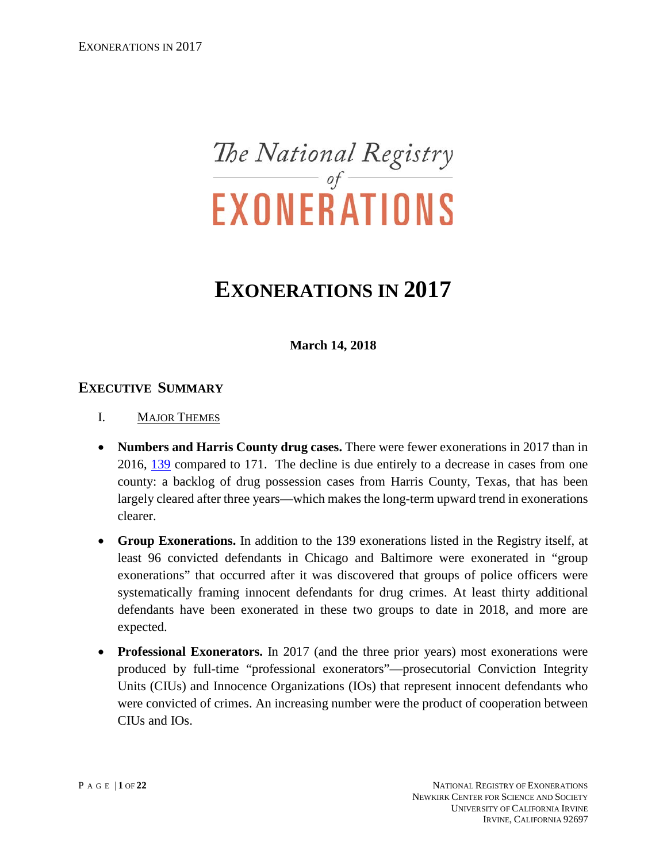# The National Registry<br>EXONERATIONS

# **EXONERATIONS IN 2017**

**March 14, 2018** 

# **EXECUTIVE SUMMARY**

- I. MAJOR THEMES
- **Numbers and Harris County drug cases.** There were fewer exonerations in 2017 than in 2016, [139](http://www.law.umich.edu/special/exoneration/Pages/detaillist.aspx?View=%7bFAF6EDDB-5A68-4F8F-8A52-2C61F5BF9EA7%7d&FilterField1=Exonerated&FilterValue1=8_2017) compared to 171. The decline is due entirely to a decrease in cases from one county: a backlog of drug possession cases from Harris County, Texas, that has been largely cleared after three years—which makes the long-term upward trend in exonerations clearer.
- **Group Exonerations.** In addition to the 139 exonerations listed in the Registry itself, at least 96 convicted defendants in Chicago and Baltimore were exonerated in "group exonerations" that occurred after it was discovered that groups of police officers were systematically framing innocent defendants for drug crimes. At least thirty additional defendants have been exonerated in these two groups to date in 2018, and more are expected.
- **Professional Exonerators.** In 2017 (and the three prior years) most exonerations were produced by full-time "professional exonerators"—prosecutorial Conviction Integrity Units (CIUs) and Innocence Organizations (IOs) that represent innocent defendants who were convicted of crimes. An increasing number were the product of cooperation between CIUs and IOs.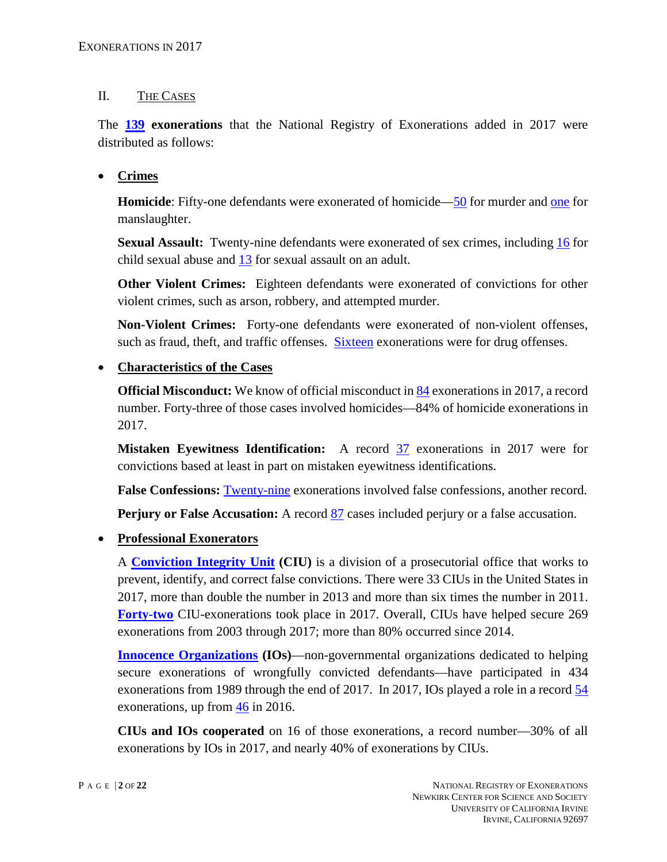#### II. THE CASES

The **[139](http://www.law.umich.edu/special/exoneration/Pages/detaillist.aspx?View=%7bFAF6EDDB-5A68-4F8F-8A52-2C61F5BF9EA7%7d&FilterField1=Exonerated&FilterValue1=8_2017) exonerations** that the National Registry of Exonerations added in 2017 were distributed as follows:

## • **Crimes**

**Homicide**: Fifty-one defendants were exonerated of homicide[—50](https://www.law.umich.edu/special/exoneration/Pages/detaillist.aspx?SortField=Crime&View=%7bfaf6eddb-5a68-4f8f-8a52-2c61f5bf9ea7%7d&FilterField1=Exonerated&FilterValue1=8_2017&SortDir=Asc&FilterField2=Crime&FilterValue2=8_Murder) for murder and [one](https://www.law.umich.edu/special/exoneration/Pages/detaillist.aspx?SortField=Crime&View=%7bfaf6eddb-5a68-4f8f-8a52-2c61f5bf9ea7%7d&FilterField1=Exonerated&FilterValue1=8_2017&SortDir=Asc&FilterField2=Crime&FilterValue2=8_Manslaughter) for manslaughter.

**Sexual Assault:** Twenty-nine defendants were exonerated of sex crimes, including [16](https://www.law.umich.edu/special/exoneration/Pages/detaillist.aspx?View=%7BFAF6EDDB-5A68-4F8F-8A52-2C61F5BF9EA7%7D&FilterField1=Exonerated&FilterValue1=8_2017&FilterField2=Crime&FilterValue2=8_Child%20Sex%20Abuse) for child sexual abuse and [13](https://www.law.umich.edu/special/exoneration/Pages/detaillist.aspx?View=%7BFAF6EDDB-5A68-4F8F-8A52-2C61F5BF9EA7%7D&FilterField1=Exonerated&FilterValue1=8_2017&FilterField2=Crime&FilterValue2=8_Sexual%20Assault) for sexual assault on an adult.

**Other Violent Crimes:** Eighteen defendants were exonerated of convictions for other violent crimes, such as arson, robbery, and attempted murder.

**Non-Violent Crimes:** Forty-one defendants were exonerated of non-violent offenses, such as fraud, theft, and traffic offenses. [Sixteen](https://www.law.umich.edu/special/exoneration/Pages/detaillist.aspx?View=%7bFAF6EDDB-5A68-4F8F-8A52-2C61F5BF9EA7%7d&FilterField1=Exonerated&FilterValue1=8_2017&FilterField2=Crime&FilterValue2=8_Drug%20Possession%20or%20Sale) exonerations were for drug offenses.

## • **Characteristics of the Cases**

**Official Misconduct:** We know of official misconduct i[n 84](https://www.law.umich.edu/special/exoneration/Pages/detaillist.aspx?View=%7bFAF6EDDB-5A68-4F8F-8A52-2C61F5BF9EA7%7d&FilterField1=Exonerated&FilterValue1=8_2017&FilterField2=OM&FilterValue2=8_OM) exonerations in 2017, a record number. Forty-three of those cases involved homicides—84% of homicide exonerations in 2017.

**Mistaken Eyewitness Identification:** A record [37](https://www.law.umich.edu/special/exoneration/Pages/detaillist.aspx?View=%7BFAF6EDDB-5A68-4F8F-8A52-2C61F5BF9EA7%7D&FilterField1=Exonerated&FilterValue1=8_2017&FilterField2=MWID&FilterValue2=8_MWID) exonerations in 2017 were for convictions based at least in part on mistaken eyewitness identifications.

**False Confessions:** [Twenty-nine](https://www.law.umich.edu/special/exoneration/Pages/detaillist.aspx?View=%7BFAF6EDDB-5A68-4F8F-8A52-2C61F5BF9EA7%7D&FilterField1=Exonerated&FilterValue1=8_2017&FilterField2=FC&FilterValue2=8_FC) exonerations involved false confessions, another record.

**Perjury or False Accusation:** A record [87](https://www.law.umich.edu/special/exoneration/Pages/detaillist.aspx?View=%7BFAF6EDDB-5A68-4F8F-8A52-2C61F5BF9EA7%7D&FilterField1=Exonerated&FilterValue1=8_2017&FilterField2=P_x002f_FA&FilterValue2=8_P%2FFA) cases included perjury or a false accusation.

#### • **Professional Exonerators**

A **[Conviction Integrity Unit](http://www.law.umich.edu/special/exoneration/Pages/glossary.aspx#CIU) (CIU)** is a division of a prosecutorial office that works to prevent, identify, and correct false convictions. There were 33 CIUs in the United States in 2017, more than double the number in 2013 and more than six times the number in 2011. **[Forty-two](https://www.law.umich.edu/special/exoneration/Pages/detaillist.aspx?View=%7BFAF6EDDB-5A68-4F8F-8A52-2C61F5BF9EA7%7D&FilterField1=Exonerated&FilterValue1=8_2017&FilterField2=Group&FilterValue2=CIU)** CIU-exonerations took place in 2017. Overall, CIUs have helped secure 269 exonerations from 2003 through 2017; more than 80% occurred since 2014.

**[Innocence Organizations](http://www.law.umich.edu/special/exoneration/Pages/glossary.aspx#ILD) (IOs)—non-governmental organizations dedicated to helping** secure exonerations of wrongfully convicted defendants—have participated in 434 exonerations from 1989 through the end of 2017. In 2017, IOs played a role in a record [54](http://www.law.umich.edu/special/exoneration/Pages/detaillist.aspx?View=%7bFAF6EDDB-5A68-4F8F-8A52-2C61F5BF9EA7%7d&FilterField1=Exonerated&FilterValue1=8_2017&FilterField2=Group&FilterValue2=IO) exonerations, up from [46](http://www.law.umich.edu/special/exoneration/Pages/detaillist.aspx?View=%7BFAF6EDDB-5A68-4F8F-8A52-2C61F5BF9EA7%7D&FilterField1=Exonerated&FilterValue1=8_2016&FilterField2=Group&FilterValue2=IO) in 2016.

**CIUs and IOs cooperated** on 16 of those exonerations, a record number—30% of all exonerations by IOs in 2017, and nearly 40% of exonerations by CIUs.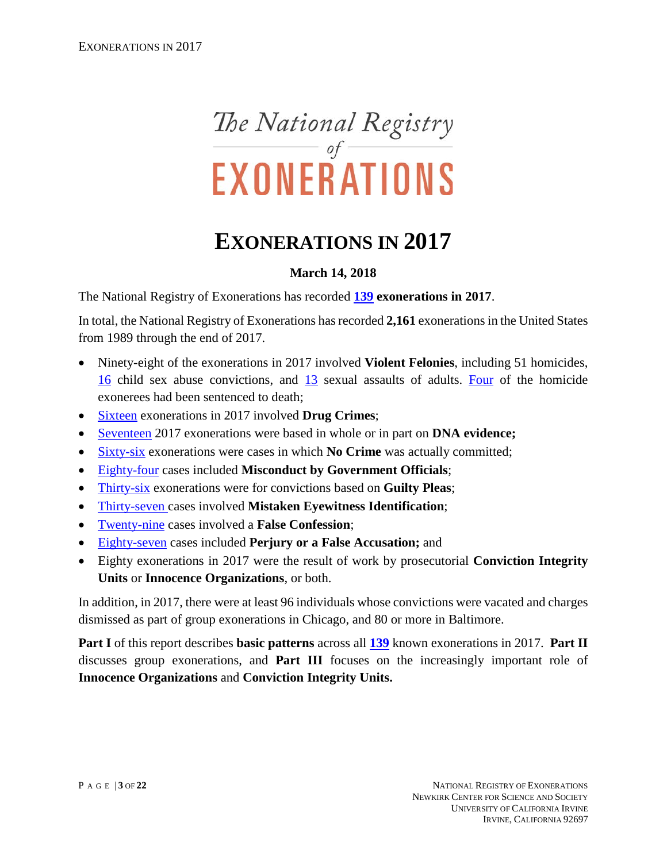

# **EXONERATIONS IN 2017**

# **March 14, 2018**

The National Registry of Exonerations has recorded **[139](http://www.law.umich.edu/special/exoneration/Pages/detaillist.aspx?View=%7bFAF6EDDB-5A68-4F8F-8A52-2C61F5BF9EA7%7d&FilterField1=Exonerated&FilterValue1=8_2017) exonerations in 2017**.

In total, the National Registry of Exonerations has recorded **2,161** exonerations in the United States from 1989 through the end of 2017.

- Ninety-eight of the exonerations in 2017 involved **Violent Felonies**, including 51 homicides, [16](http://www.law.umich.edu/special/exoneration/Pages/detaillist.aspx?View=%7bFAF6EDDB-5A68-4F8F-8A52-2C61F5BF9EA7%7d&FilterField1=Exonerated&FilterValue1=8_2017&FilterField2=Crime&FilterValue2=8_Child%20Sex%20Abuse) child sex abuse convictions, and [13](https://www.law.umich.edu/special/exoneration/Pages/detaillist.aspx?View=%7BFAF6EDDB-5A68-4F8F-8A52-2C61F5BF9EA7%7D&FilterField1=Exonerated&FilterValue1=8_2017&FilterField2=Crime&FilterValue2=8_Sexual%20Assault) sexual assaults of adults. [Four](http://www.law.umich.edu/special/exoneration/Pages/detaillist.aspx?SortField=County_x0020_of_x0020_Crime&View=%7bfaf6eddb-5a68-4f8f-8a52-2c61f5bf9ea7%7d&FilterField1=Exonerated&FilterValue1=8_2017&SortDir=Asc&FilterField2=Sentence&FilterValue2=Death) of the homicide exonerees had been sentenced to death;
- [Sixteen](http://www.law.umich.edu/special/exoneration/Pages/detaillist.aspx?View=%7bFAF6EDDB-5A68-4F8F-8A52-2C61F5BF9EA7%7d&FilterField1=Exonerated&FilterValue1=8_2017&FilterField2=Crime&FilterValue2=8_Drug%20Possession%20or%20Sale) exonerations in 2017 involved **Drug Crimes**;
- [Seventeen](http://www.law.umich.edu/special/exoneration/Pages/detaillist.aspx?SortField=Convicted&View=%7bfaf6eddb-5a68-4f8f-8a52-2c61f5bf9ea7%7d&FilterField1=Exonerated&FilterValue1=8_2017&SortDir=Asc&FilterField2=DNA&FilterValue2=8_DNA) 2017 exonerations were based in whole or in part on **DNA evidence;**
- [Sixty-six](http://www.law.umich.edu/special/exoneration/Pages/detaillist.aspx?SortField=Crime&View=%7bfaf6eddb-5a68-4f8f-8a52-2c61f5bf9ea7%7d&FilterField1=Exonerated&FilterValue1=8_2017&SortDir=Asc&FilterField2=Group&FilterValue2=NC) exonerations were cases in which **No Crime** was actually committed;
- [Eighty-four](https://www.law.umich.edu/special/exoneration/Pages/detaillist.aspx?View=%7bFAF6EDDB-5A68-4F8F-8A52-2C61F5BF9EA7%7d&FilterField1=Exonerated&FilterValue1=8_2017&FilterField2=OM&FilterValue2=8_OM) cases included **Misconduct by Government Officials**;
- [Thirty-six](https://www.law.umich.edu/special/exoneration/Pages/detaillist.aspx?View=%7BFAF6EDDB-5A68-4F8F-8A52-2C61F5BF9EA7%7D&FilterField1=Exonerated&FilterValue1=8_2017&FilterField2=Group&FilterValue2=P) exonerations were for convictions based on **Guilty Pleas**;
- [Thirty-seven](https://www.law.umich.edu/special/exoneration/Pages/detaillist.aspx?View=%7BFAF6EDDB-5A68-4F8F-8A52-2C61F5BF9EA7%7D&FilterField1=Exonerated&FilterValue1=8_2017&FilterField2=MWID&FilterValue2=8_MWID) cases involved **Mistaken Eyewitness Identification**;
- [Twenty-nine](https://www.law.umich.edu/special/exoneration/Pages/detaillist.aspx?View=%7BFAF6EDDB-5A68-4F8F-8A52-2C61F5BF9EA7%7D&FilterField1=Exonerated&FilterValue1=8_2017&FilterField2=FC&FilterValue2=8_FC) cases involved a **False Confession**;
- [Eighty-seven](https://www.law.umich.edu/special/exoneration/Pages/detaillist.aspx?View=%7BFAF6EDDB-5A68-4F8F-8A52-2C61F5BF9EA7%7D&FilterField1=Exonerated&FilterValue1=8_2017&FilterField2=P_x002f_FA&FilterValue2=8_P%2FFA) cases included **Perjury or a False Accusation;** and
- Eighty exonerations in 2017 were the result of work by prosecutorial **Conviction Integrity Units** or **Innocence Organizations**, or both.

In addition, in 2017, there were at least 96 individuals whose convictions were vacated and charges dismissed as part of group exonerations in Chicago, and 80 or more in Baltimore.

**Part I** of this report describes **basic patterns** across all **[139](http://www.law.umich.edu/special/exoneration/Pages/detaillist.aspx?View=%7bFAF6EDDB-5A68-4F8F-8A52-2C61F5BF9EA7%7d&FilterField1=Exonerated&FilterValue1=8_2017)** known exonerations in 2017. **Part II** discusses group exonerations, and **Part III** focuses on the increasingly important role of **Innocence Organizations** and **Conviction Integrity Units.**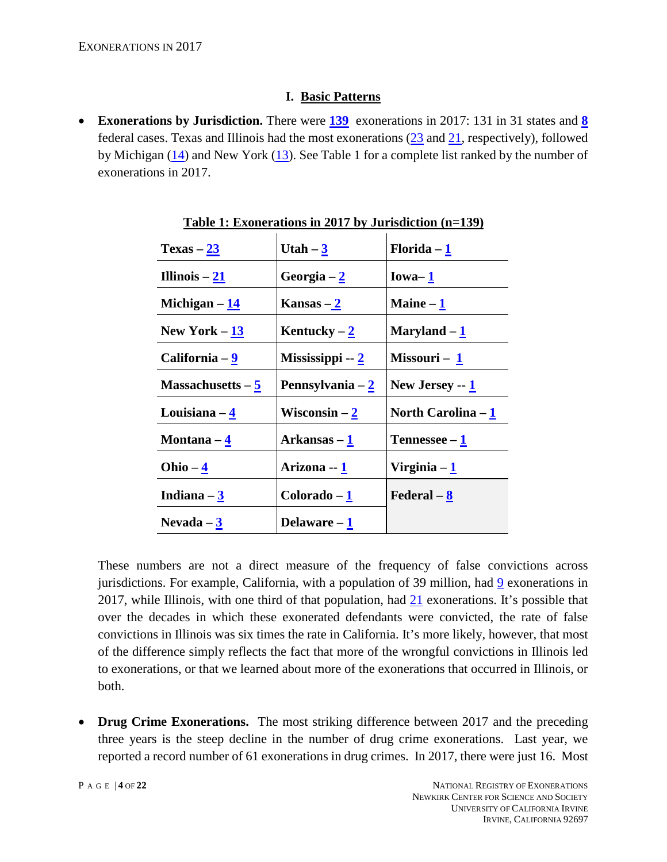## **I. Basic Patterns**

• **Exonerations by Jurisdiction.** There were **[139](http://www.law.umich.edu/special/exoneration/Pages/detaillist.aspx?View=%7bFAF6EDDB-5A68-4F8F-8A52-2C61F5BF9EA7%7d&FilterField1=Exonerated&FilterValue1=8_2017)** exonerations in 2017: 131 in 31 states and **[8](http://www.law.umich.edu/special/exoneration/Pages/detaillist.aspx?View=%7bfaf6eddb-5a68-4f8f-8a52-2c61f5bf9ea7%7d&FilterField1=Exonerated&FilterValue1=8_2017&SortField=ST&SortDir=Asc&FilterField2=Group&FilterValue2=FED)** federal cases. Texas and Illinois had the most exonerations [\(23](http://www.law.umich.edu/special/exoneration/Pages/detaillist.aspx?View=%7bfaf6eddb-5a68-4f8f-8a52-2c61f5bf9ea7%7d&FilterField1=Exonerated&FilterValue1=8_2017&SortField=ST&SortDir=Asc&FilterField2=ST&FilterValue2=TX) and [21,](http://www.law.umich.edu/special/exoneration/Pages/detaillist.aspx?View=%7bfaf6eddb-5a68-4f8f-8a52-2c61f5bf9ea7%7d&FilterField1=Exonerated&FilterValue1=8_2017&SortField=ST&SortDir=Asc&FilterField2=ST&FilterValue2=IL) respectively), followed by Michigan  $(14)$  and New York  $(13)$ . See Table 1 for a complete list ranked by the number of exonerations in 2017.

| $Texas - 23$                 | Utah $-\underline{3}$      | Florida $-\underline{1}$   |
|------------------------------|----------------------------|----------------------------|
| Illinois $-\underline{21}$   | Georgia – 2                | $Iowa-1$                   |
| Michigan $-\underline{14}$   | Kansas $-\underline{2}$    | Maine $-\underline{1}$     |
| New York $-13$               | Kentucky – $2$             | Maryland – 1               |
| California – <u>9</u>        | Mississippi -- 2           | Missouri – 1               |
| Massachusetts $-\frac{5}{5}$ | Pennsylvania – 2           | New Jersey $-1$            |
| Louisiana $-\frac{4}{3}$     | Wisconsin $-\underline{2}$ | North Carolina - 1         |
| Montana – <u>4</u>           | Arkansas – 1               | Tennessee $-\underline{1}$ |
| Ohio – $\frac{4}{3}$         | Arizona -- <u>1</u>        | Virginia $-\underline{1}$  |
| Indiana $-\frac{3}{5}$       | $Colorado - 1$             | Federal $-\underline{8}$   |
| Nevada $-3$                  | Delaware – 1               |                            |

**Table 1: Exonerations in 2017 by Jurisdiction (n=139)**

These numbers are not a direct measure of the frequency of false convictions across jurisdictions. For example, California, with a population of 39 million, had [9](http://www.law.umich.edu/special/exoneration/Pages/detaillist.aspx?View=%7bfaf6eddb-5a68-4f8f-8a52-2c61f5bf9ea7%7d&FilterField1=Exonerated&FilterValue1=8_2017&SortField=ST&SortDir=Asc&FilterField2=ST&FilterValue2=CA) exonerations in 2017, while Illinois, with one third of that population, had [21](http://www.law.umich.edu/special/exoneration/Pages/detaillist.aspx?View=%7bfaf6eddb-5a68-4f8f-8a52-2c61f5bf9ea7%7d&FilterField1=Exonerated&FilterValue1=8_2017&SortField=ST&SortDir=Asc&FilterField2=ST&FilterValue2=IL) exonerations. It's possible that over the decades in which these exonerated defendants were convicted, the rate of false convictions in Illinois was six times the rate in California. It's more likely, however, that most of the difference simply reflects the fact that more of the wrongful convictions in Illinois led to exonerations, or that we learned about more of the exonerations that occurred in Illinois, or both.

• **Drug Crime Exonerations.** The most striking difference between 2017 and the preceding three years is the steep decline in the number of drug crime exonerations. Last year, we reported a record number of 61 exonerations in drug crimes. In 2017, there were just 16. Most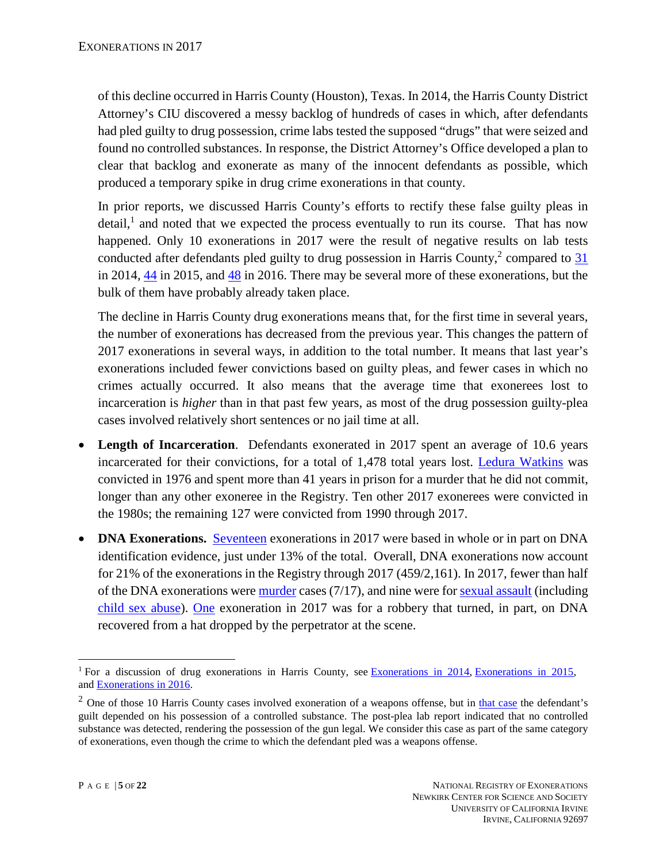of this decline occurred in Harris County (Houston), Texas. In 2014, the Harris County District Attorney's CIU discovered a messy backlog of hundreds of cases in which, after defendants had pled guilty to drug possession, crime labs tested the supposed "drugs" that were seized and found no controlled substances. In response, the District Attorney's Office developed a plan to clear that backlog and exonerate as many of the innocent defendants as possible, which produced a temporary spike in drug crime exonerations in that county.

In prior reports, we discussed Harris County's efforts to rectify these false guilty pleas in detail,<sup>1</sup> and noted that we expected the process eventually to run its course. That has now happened. Only 10 exonerations in 2017 were the result of negative results on lab tests conducted after defendants pled guilty to drug possession in Harris County,<sup>2</sup> compared to  $31$ in 2014, [44](http://www.law.umich.edu/special/exoneration/Pages/detaillist.aspx?View=%7bFAF6EDDB-5A68-4F8F-8A52-2C61F5BF9EA7%7d&FilterField1=Exonerated&FilterValue1=8_2015&FilterField2=Crime&FilterValue2=8_Drug%20Possession%20or%20Sale&FilterField3=County_x0020_of_x0020_Crime&FilterValue3=Harris&FilterField4=Group&FilterValue4=CIU) in 2015, and [48](http://www.law.umich.edu/special/exoneration/Pages/detaillist.aspx?View=%7BFAF6EDDB-5A68-4F8F-8A52-2C61F5BF9EA7%7D&FilterField1=Exonerated&FilterValue1=8_2016&FilterField2=Crime&FilterValue2=8_Drug%20Possession%20or%20Sale&FilterField3=County_x0020_of_x0020_Crime&FilterValue3=Harris&FilterField4=Group&FilterValue4=CIU) in 2016. There may be several more of these exonerations, but the bulk of them have probably already taken place.

The decline in Harris County drug exonerations means that, for the first time in several years, the number of exonerations has decreased from the previous year. This changes the pattern of 2017 exonerations in several ways, in addition to the total number. It means that last year's exonerations included fewer convictions based on guilty pleas, and fewer cases in which no crimes actually occurred. It also means that the average time that exonerees lost to incarceration is *higher* than in that past few years, as most of the drug possession guilty-plea cases involved relatively short sentences or no jail time at all.

- **Length of Incarceration.** Defendants exonerated in 2017 spent an average of 10.6 years incarcerated for their convictions, for a total of 1,478 total years lost. [Ledura Watkins](http://www.law.umich.edu/special/exoneration/Pages/casedetail.aspx?caseid=5159) was convicted in 1976 and spent more than 41 years in prison for a murder that he did not commit, longer than any other exoneree in the Registry. Ten other 2017 exonerees were convicted in the 1980s; the remaining 127 were convicted from 1990 through 2017.
- **DNA Exonerations.** [Seventeen](http://www.law.umich.edu/special/exoneration/Pages/detaillist.aspx?SortField=Convicted&View=%7bfaf6eddb-5a68-4f8f-8a52-2c61f5bf9ea7%7d&FilterField1=Exonerated&FilterValue1=8_2017&SortDir=Asc&FilterField2=DNA&FilterValue2=8_DNA) exonerations in 2017 were based in whole or in part on DNA identification evidence, just under 13% of the total. Overall, DNA exonerations now account for 21% of the exonerations in the Registry through 2017 (459/2,161). In 2017, fewer than half of the DNA exonerations wer[e murder](http://www.law.umich.edu/special/exoneration/Pages/detaillist.aspx?SortField=Convicted&View=%7bfaf6eddb-5a68-4f8f-8a52-2c61f5bf9ea7%7d&SortDir=Asc&FilterField1=DNA&FilterValue1=8_DNA&FilterField2=Exonerated&FilterValue2=8_2017) cases (7/17), and nine were for [sexual assault](https://www.law.umich.edu/special/exoneration/Pages/detaillist.aspx?View=%7bfaf6eddb-5a68-4f8f-8a52-2c61f5bf9ea7%7d&FilterField1=Exonerated&FilterValue1=8_2017&FilterField2=DNA&FilterValue2=8_DNA&SortField=Crime&SortDir=Asc&FilterField3=Crime&FilterValue3=8_Sexual%20Assault) (including [child sex abuse\)](https://www.law.umich.edu/special/exoneration/Pages/detaillist.aspx?View=%7bfaf6eddb-5a68-4f8f-8a52-2c61f5bf9ea7%7d&FilterField1=Exonerated&FilterValue1=8_2017&FilterField2=DNA&FilterValue2=8_DNA&SortField=Crime&SortDir=Asc&FilterField3=Crime&FilterValue3=8_Child%20Sex%20Abuse). [One](https://www.law.umich.edu/special/exoneration/Pages/detaillist.aspx?View=%7bfaf6eddb-5a68-4f8f-8a52-2c61f5bf9ea7%7d&FilterField1=Exonerated&FilterValue1=8_2017&FilterField2=DNA&FilterValue2=8_DNA&SortField=Crime&SortDir=Asc&FilterField3=Crime&FilterValue3=8_Robbery) exoneration in 2017 was for a robbery that turned, in part, on DNA recovered from a hat dropped by the perpetrator at the scene.

 $\overline{a}$ <sup>1</sup> For a discussion of drug exonerations in Harris County, see [Exonerations in 2014,](https://www.law.umich.edu/special/exoneration/Documents/Exonerations_in_2014_report.pdf) [Exonerations in 2015,](https://www.law.umich.edu/special/exoneration/Documents/Exonerations_in_2015.pdf) and [Exonerations in 2016.](https://www.law.umich.edu/special/exoneration/Documents/Exonerations_in_2016.pdf)

 $2$  One of those 10 Harris County cases involved exoneration of a weapons offense, but in [that case](http://www.law.umich.edu/special/exoneration/Pages/casedetail.aspx?caseid=5115) the defendant's guilt depended on his possession of a controlled substance. The post-plea lab report indicated that no controlled substance was detected, rendering the possession of the gun legal. We consider this case as part of the same category of exonerations, even though the crime to which the defendant pled was a weapons offense.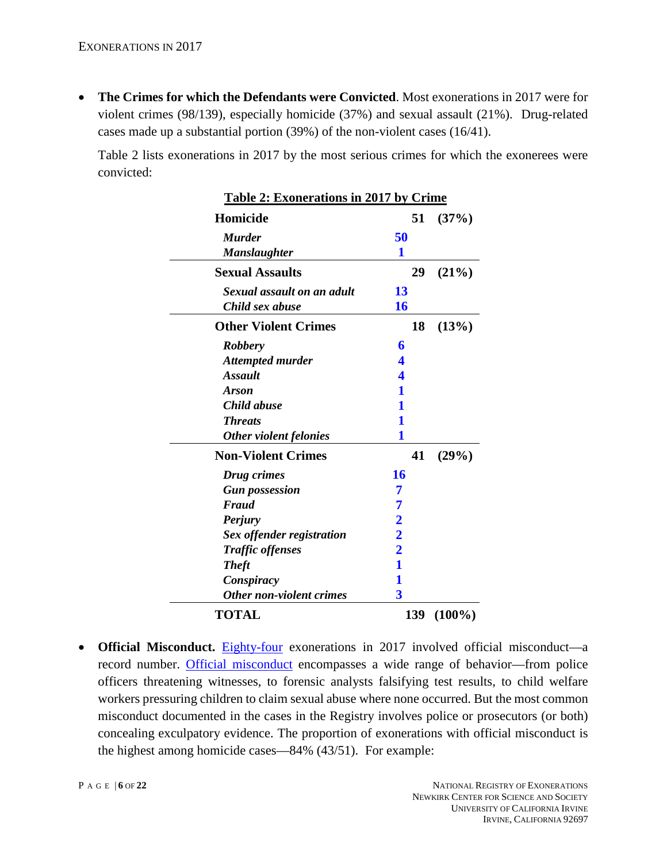• **The Crimes for which the Defendants were Convicted**. Most exonerations in 2017 were for violent crimes (98/139), especially homicide (37%) and sexual assault (21%). Drug-related cases made up a substantial portion (39%) of the non-violent cases (16/41).

Table 2 lists exonerations in 2017 by the most serious crimes for which the exonerees were convicted:

| <b>Table 2: Exonerations in 2017 by Crime</b> |                         |    |           |
|-----------------------------------------------|-------------------------|----|-----------|
| Homicide                                      |                         | 51 | (37%)     |
| <b>Murder</b>                                 | 50                      |    |           |
| <b>Manslaughter</b>                           | 1                       |    |           |
| <b>Sexual Assaults</b>                        |                         | 29 | (21%)     |
| Sexual assault on an adult                    | 13                      |    |           |
| Child sex abuse                               | 16                      |    |           |
| <b>Other Violent Crimes</b>                   |                         | 18 | (13%)     |
| <b>Robbery</b>                                | 6                       |    |           |
| <b>Attempted murder</b>                       | 4                       |    |           |
| <b>Assault</b>                                | 4                       |    |           |
| <b>Arson</b>                                  | 1                       |    |           |
| Child abuse                                   | 1                       |    |           |
| <b>Threats</b>                                | 1                       |    |           |
| Other violent felonies                        | 1                       |    |           |
| <b>Non-Violent Crimes</b>                     |                         | 41 | (29%)     |
| Drug crimes                                   | 16                      |    |           |
| <b>Gun possession</b>                         | 7                       |    |           |
| Fraud                                         | 7                       |    |           |
| <b>Perjury</b>                                |                         |    |           |
| Sex offender registration                     |                         |    |           |
| <b>Traffic offenses</b>                       | $\frac{2}{2}$           |    |           |
| <b>Theft</b>                                  | $\mathbf{1}$            |    |           |
| Conspiracy                                    | 1                       |    |           |
| <b>Other non-violent crimes</b>               | $\overline{\mathbf{3}}$ |    |           |
| <b>TOTAL</b>                                  | 139                     |    | $(100\%)$ |

• **Official Misconduct.** [Eighty-four](https://www.law.umich.edu/special/exoneration/Pages/detaillist.aspx?View=%7bFAF6EDDB-5A68-4F8F-8A52-2C61F5BF9EA7%7d&FilterField1=Exonerated&FilterValue1=8_2017&FilterField2=OM&FilterValue2=8_OM) exonerations in 2017 involved official misconduct—a record number. [Official misconduct](http://www.law.umich.edu/special/exoneration/Pages/glossary.aspx#OM) encompasses a wide range of behavior—from police officers threatening witnesses, to forensic analysts falsifying test results, to child welfare workers pressuring children to claim sexual abuse where none occurred. But the most common misconduct documented in the cases in the Registry involves police or prosecutors (or both) concealing exculpatory evidence. The proportion of exonerations with official misconduct is the highest among homicide cases—84% (43/51). For example: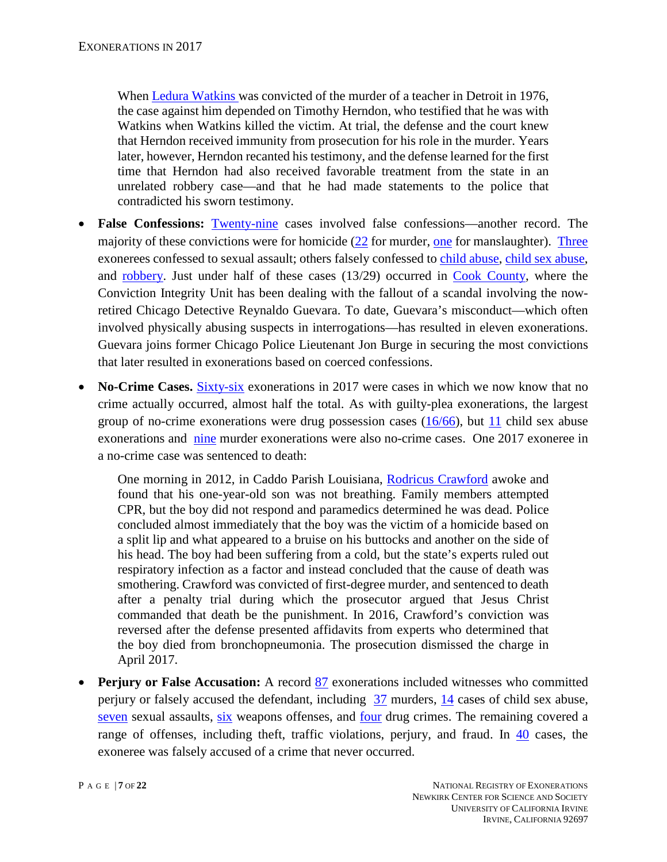When [Ledura Watkins](http://www.law.umich.edu/special/exoneration/Pages/casedetail.aspx?caseid=5159) was convicted of the murder of a teacher in Detroit in 1976, the case against him depended on Timothy Herndon, who testified that he was with Watkins when Watkins killed the victim. At trial, the defense and the court knew that Herndon received immunity from prosecution for his role in the murder. Years later, however, Herndon recanted his testimony, and the defense learned for the first time that Herndon had also received favorable treatment from the state in an unrelated robbery case—and that he had made statements to the police that contradicted his sworn testimony.

- **False Confessions:** [Twenty-nine](https://www.law.umich.edu/special/exoneration/Pages/detaillist.aspx?View=%7BFAF6EDDB-5A68-4F8F-8A52-2C61F5BF9EA7%7D&FilterField1=Exonerated&FilterValue1=8_2017&FilterField2=FC&FilterValue2=8_FC) cases involved false confessions—another record. The majority of these convictions were for homicide [\(22](https://www.law.umich.edu/special/exoneration/Pages/detaillist.aspx?View=%7BFAF6EDDB-5A68-4F8F-8A52-2C61F5BF9EA7%7D&FilterField1=Exonerated&FilterValue1=8_2017&FilterField2=FC&FilterValue2=8_FC&FilterField3=Crime&FilterValue3=8_Murder) for murder, [one](https://www.law.umich.edu/special/exoneration/Pages/detaillist.aspx?View=%7BFAF6EDDB-5A68-4F8F-8A52-2C61F5BF9EA7%7D&FilterField1=Exonerated&FilterValue1=8_2017&FilterField2=FC&FilterValue2=8_FC&FilterField3=Crime&FilterValue3=8_Manslaughter) for manslaughter). [Three](https://www.law.umich.edu/special/exoneration/Pages/detaillist.aspx?View=%7BFAF6EDDB-5A68-4F8F-8A52-2C61F5BF9EA7%7D&FilterField1=Exonerated&FilterValue1=8_2017&FilterField2=FC&FilterValue2=8_FC&FilterField3=Crime&FilterValue3=8_Sexual%20Assault) exonerees confessed to sexual assault; others falsely confessed to [child abuse,](https://www.law.umich.edu/special/exoneration/Pages/detaillist.aspx?View=%7BFAF6EDDB-5A68-4F8F-8A52-2C61F5BF9EA7%7D&FilterField1=Exonerated&FilterValue1=8_2017&FilterField2=FC&FilterValue2=8_FC&FilterField3=Crime&FilterValue3=8_Child%20Abuse) [child sex abuse,](https://www.law.umich.edu/special/exoneration/Pages/detaillist.aspx?View=%7BFAF6EDDB-5A68-4F8F-8A52-2C61F5BF9EA7%7D&FilterField1=Exonerated&FilterValue1=8_2017&FilterField2=FC&FilterValue2=8_FC&FilterField3=Crime&FilterValue3=8_Child%20Sex%20Abuse) and [robbery.](https://www.law.umich.edu/special/exoneration/Pages/detaillist.aspx?View=%7BFAF6EDDB-5A68-4F8F-8A52-2C61F5BF9EA7%7D&FilterField1=Exonerated&FilterValue1=8_2017&FilterField2=FC&FilterValue2=8_FC&FilterField3=Crime&FilterValue3=8_Robbery) Just under half of these cases (13/29) occurred in [Cook County,](http://www.law.umich.edu/special/exoneration/Pages/detaillist.aspx?View=%7bFAF6EDDB-5A68-4F8F-8A52-2C61F5BF9EA7%7d&FilterField1=County_x0020_of_x0020_Crime&FilterValue1=Cook&FilterField2=FC&FilterValue2=8_FC&FilterField3=Exonerated&FilterValue3=8_2017) where the Conviction Integrity Unit has been dealing with the fallout of a scandal involving the nowretired Chicago Detective Reynaldo Guevara. To date, Guevara's misconduct—which often involved physically abusing suspects in interrogations—has resulted in eleven exonerations. Guevara joins former Chicago Police Lieutenant Jon Burge in securing the most convictions that later resulted in exonerations based on coerced confessions.
- **No-Crime Cases.** [Sixty-six](http://www.law.umich.edu/special/exoneration/Pages/detaillist.aspx?SortField=Crime&View=%7bfaf6eddb-5a68-4f8f-8a52-2c61f5bf9ea7%7d&FilterField1=Exonerated&FilterValue1=8_2017&SortDir=Asc&FilterField2=Group&FilterValue2=NC) exonerations in 2017 were cases in which we now know that no crime actually occurred, almost half the total. As with guilty-plea exonerations, the largest group of no-crime exonerations were drug possession cases  $(16/66)$ , but [11](https://www.law.umich.edu/special/exoneration/Pages/detaillist.aspx?SortField=Crime&View=%7Bfaf6eddb-5a68-4f8f-8a52-2c61f5bf9ea7%7D&FilterField1=Exonerated&FilterValue1=8_2017&SortDir=Asc&FilterField2=Group&FilterValue2=NC&FilterField3=Crime&FilterValue3=8_Child%20Sex%20Abuse) child sex abuse exonerations and [nine](http://www.law.umich.edu/special/exoneration/Pages/detaillist.aspx?SortField=Crime&View=%7bfaf6eddb-5a68-4f8f-8a52-2c61f5bf9ea7%7d&FilterField1=Exonerated&FilterValue1=8_2017&SortDir=Asc&FilterField2=Group&FilterValue2=NC&FilterField3=Crime&FilterValue3=8_Murder) murder exonerations were also no-crime cases. One 2017 exoneree in a no-crime case was sentenced to death:

One morning in 2012, in Caddo Parish Louisiana, [Rodricus Crawford](http://www.law.umich.edu/special/exoneration/Pages/casedetail.aspx?caseid=5123) awoke and found that his one-year-old son was not breathing. Family members attempted CPR, but the boy did not respond and paramedics determined he was dead. Police concluded almost immediately that the boy was the victim of a homicide based on a split lip and what appeared to a bruise on his buttocks and another on the side of his head. The boy had been suffering from a cold, but the state's experts ruled out respiratory infection as a factor and instead concluded that the cause of death was smothering. Crawford was convicted of first-degree murder, and sentenced to death after a penalty trial during which the prosecutor argued that Jesus Christ commanded that death be the punishment. In 2016, Crawford's conviction was reversed after the defense presented affidavits from experts who determined that the boy died from bronchopneumonia. The prosecution dismissed the charge in April 2017.

• **Perjury or False Accusation:** A record [87](https://www.law.umich.edu/special/exoneration/Pages/detaillist.aspx?View=%7BFAF6EDDB-5A68-4F8F-8A52-2C61F5BF9EA7%7D&FilterField1=Exonerated&FilterValue1=8_2017&FilterField2=P_x002f_FA&FilterValue2=8_P%2FFA) exonerations included witnesses who committed perjury or falsely accused the defendant, including [37](https://www.law.umich.edu/special/exoneration/Pages/detaillist.aspx?View=%7BFAF6EDDB-5A68-4F8F-8A52-2C61F5BF9EA7%7D&FilterField1=Exonerated&FilterValue1=8_2017&FilterField2=P_x002f_FA&FilterValue2=8_P%2FFA&FilterField3=Crime&FilterValue3=8_Murder) murders, [14](https://www.law.umich.edu/special/exoneration/Pages/detaillist.aspx?View=%7bfaf6eddb-5a68-4f8f-8a52-2c61f5bf9ea7%7d&FilterField1=Exonerated&FilterValue1=8_2017&FilterField2=P_x002f_FA&FilterValue2=8_P%2FFA&SortField=Crime&SortDir=Asc&FilterField3=Crime&FilterValue3=8_Child%20Sex%20Abuse) cases of child sex abuse, [seven](https://www.law.umich.edu/special/exoneration/Pages/detaillist.aspx?View=%7Bfaf6eddb-5a68-4f8f-8a52-2c61f5bf9ea7%7D&FilterField1=Exonerated&FilterValue1=8_2017&FilterField2=P_x002f_FA&FilterValue2=8_P%2FFA&SortField=Crime&SortDir=Asc&FilterField3=Crime&FilterValue3=8%5FSexual%20Assault) sexual assaults, [six](https://www.law.umich.edu/special/exoneration/Pages/detaillist.aspx?View=%7bfaf6eddb-5a68-4f8f-8a52-2c61f5bf9ea7%7d&FilterField1=Exonerated&FilterValue1=8_2017&FilterField2=P_x002f_FA&FilterValue2=8_P%2FFA&SortField=Crime&SortDir=Asc&FilterField3=Crime&FilterValue3=8_Weapon%20Possession%20or%20Sale) weapons offenses, and [four](https://www.law.umich.edu/special/exoneration/Pages/detaillist.aspx?View=%7bfaf6eddb-5a68-4f8f-8a52-2c61f5bf9ea7%7d&FilterField1=Exonerated&FilterValue1=8_2017&FilterField2=P_x002f_FA&FilterValue2=8_P%2FFA&SortField=Crime&SortDir=Asc&FilterField3=Crime&FilterValue3=8_Drug%20Possession%20or%20Sale) drug crimes. The remaining covered a range of offenses, including theft, traffic violations, perjury, and fraud. In  $\frac{40}{10}$  $\frac{40}{10}$  $\frac{40}{10}$  cases, the exoneree was falsely accused of a crime that never occurred.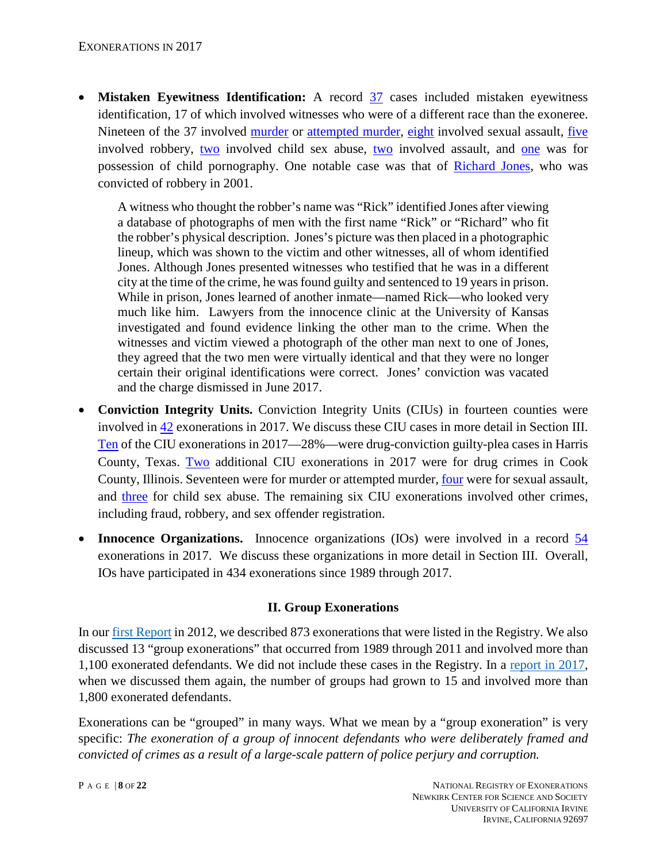• **Mistaken Eyewitness Identification:** A record [37](https://www.law.umich.edu/special/exoneration/Pages/detaillist.aspx?View=%7BFAF6EDDB-5A68-4F8F-8A52-2C61F5BF9EA7%7D&FilterField1=Exonerated&FilterValue1=8_2017&FilterField2=MWID&FilterValue2=8_MWID) cases included mistaken eyewitness identification, 17 of which involved witnesses who were of a different race than the exoneree. Nineteen of the 37 involved [murder](https://www.law.umich.edu/special/exoneration/Pages/detaillist.aspx?View=%7BFAF6EDDB-5A68-4F8F-8A52-2C61F5BF9EA7%7D&FilterField1=Exonerated&FilterValue1=8_2017&FilterField2=MWID&FilterValue2=8_MWID&FilterField3=Crime&FilterValue3=8_Murder) or [attempted murder,](https://www.law.umich.edu/special/exoneration/Pages/detaillist.aspx?View=%7BFAF6EDDB-5A68-4F8F-8A52-2C61F5BF9EA7%7D&FilterField1=Exonerated&FilterValue1=8_2017&FilterField2=MWID&FilterValue2=8_MWID&FilterField3=Crime&FilterValue3=8_Attempted%20Murder) [eight](https://www.law.umich.edu/special/exoneration/Pages/detaillist.aspx?View=%7BFAF6EDDB-5A68-4F8F-8A52-2C61F5BF9EA7%7D&FilterField1=Exonerated&FilterValue1=8_2017&FilterField2=MWID&FilterValue2=8_MWID&FilterField3=Crime&FilterValue3=8_Sexual%20Assault) involved sexual assault, [five](https://www.law.umich.edu/special/exoneration/Pages/detaillist.aspx?View=%7BFAF6EDDB-5A68-4F8F-8A52-2C61F5BF9EA7%7D&FilterField1=Exonerated&FilterValue1=8_2017&FilterField2=MWID&FilterValue2=8_MWID&FilterField3=Crime&FilterValue3=8_Robbery) involved robbery, [two](https://www.law.umich.edu/special/exoneration/Pages/detaillist.aspx?View=%7BFAF6EDDB-5A68-4F8F-8A52-2C61F5BF9EA7%7D&FilterField1=Exonerated&FilterValue1=8_2017&FilterField2=MWID&FilterValue2=8_MWID&FilterField3=Crime&FilterValue3=8_Assault) involved child sex abuse, two involved assault, and [one](https://www.law.umich.edu/special/exoneration/Pages/casedetail.aspx?caseid=5203) was for possession of child pornography. One notable case was that of [Richard Jones,](http://www.law.umich.edu/special/exoneration/Pages/casedetail.aspx?caseid=5155) who was convicted of robbery in 2001.

A witness who thought the robber's name was "Rick" identified Jones after viewing a database of photographs of men with the first name "Rick" or "Richard" who fit the robber's physical description. Jones's picture was then placed in a photographic lineup, which was shown to the victim and other witnesses, all of whom identified Jones. Although Jones presented witnesses who testified that he was in a different city at the time of the crime, he was found guilty and sentenced to 19 years in prison. While in prison, Jones learned of another inmate—named Rick—who looked very much like him. Lawyers from the innocence clinic at the University of Kansas investigated and found evidence linking the other man to the crime. When the witnesses and victim viewed a photograph of the other man next to one of Jones, they agreed that the two men were virtually identical and that they were no longer certain their original identifications were correct. Jones' conviction was vacated and the charge dismissed in June 2017.

- **Conviction Integrity Units.** Conviction Integrity Units (CIUs) in fourteen counties were involved in [42](http://www.law.umich.edu/special/exoneration/Pages/detaillist.aspx?SortField=Crime&View=%7bfaf6eddb-5a68-4f8f-8a52-2c61f5bf9ea7%7d&FilterField1=Exonerated&FilterValue1=8_2017&SortDir=Asc&FilterField2=Group&FilterValue2=CIU) exonerations in 2017. We discuss these CIU cases in more detail in Section III. [Ten](http://www.law.umich.edu/special/exoneration/Pages/detaillist.aspx?SortField=Crime&View=%7bfaf6eddb-5a68-4f8f-8a52-2c61f5bf9ea7%7d&FilterField1=Exonerated&FilterValue1=8_2017&SortDir=Asc&FilterField2=Group&FilterValue2=CIU&FilterField3=County_x0020_of_x0020_Crime&FilterValue3=Harris) of the CIU exonerations in 2017—28%—were drug-conviction guilty-plea cases in Harris County, Texas. [Two](http://www.law.umich.edu/special/exoneration/Pages/detaillist.aspx?SortField=Crime&View=%7Bfaf6eddb-5a68-4f8f-8a52-2c61f5bf9ea7%7D&FilterField1=Exonerated&FilterValue1=8_2017&SortDir=Asc&FilterField2=Group&FilterValue2=CIU&FilterField3=County_x0020_of_x0020_Crime&FilterValue3=Cook&FilterField4=Crime&FilterValue4=8_Drug%20Possession%20or%20Sale) additional CIU exonerations in 2017 were for drug crimes in Cook County, Illinois. Seventeen were for murder or attempted murder, [four](http://www.law.umich.edu/special/exoneration/Pages/detaillist.aspx?SortField=Crime&View=%7Bfaf6eddb-5a68-4f8f-8a52-2c61f5bf9ea7%7D&FilterField1=Exonerated&FilterValue1=8_2017&SortDir=Asc&FilterField2=Group&FilterValue2=CIU&FilterField3=Crime&FilterValue3=8_Sexual%20Assault) were for sexual assault, and [three](http://www.law.umich.edu/special/exoneration/Pages/detaillist.aspx?SortField=Crime&View=%7Bfaf6eddb-5a68-4f8f-8a52-2c61f5bf9ea7%7D&FilterField1=Exonerated&FilterValue1=8_2017&SortDir=Asc&FilterField2=Group&FilterValue2=CIU&FilterField3=Crime&FilterValue3=8_Child%20Sex%20Abuse) for child sex abuse. The remaining six CIU exonerations involved other crimes, including fraud, robbery, and sex offender registration.
- **Innocence Organizations.** Innocence organizations (IOs) were involved in a record  $\frac{54}{1}$  $\frac{54}{1}$  $\frac{54}{1}$ exonerations in 2017. We discuss these organizations in more detail in Section III. Overall, IOs have participated in 434 exonerations since 1989 through 2017.

#### **II. Group Exonerations**

In our [first Report](https://www.law.umich.edu/special/exoneration/Documents/exonerations_us_1989_2012_full_report.pdf) in 2012, we described 873 exonerations that were listed in the Registry. We also discussed 13 "group exonerations" that occurred from 1989 through 2011 and involved more than 1,100 exonerated defendants. We did not include these cases in the Registry. In a [report in 2017,](https://www.law.umich.edu/special/exoneration/Documents/Race_and_Wrongful_Convictions.pdf) when we discussed them again, the number of groups had grown to 15 and involved more than 1,800 exonerated defendants.

Exonerations can be "grouped" in many ways. What we mean by a "group exoneration" is very specific: *The exoneration of a group of innocent defendants who were deliberately framed and convicted of crimes as a result of a large-scale pattern of police perjury and corruption.*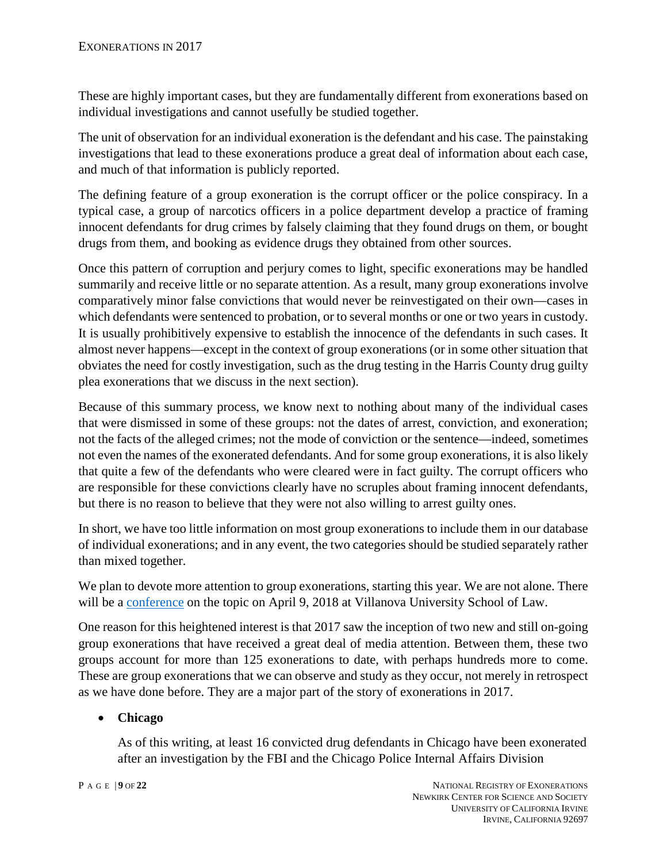These are highly important cases, but they are fundamentally different from exonerations based on individual investigations and cannot usefully be studied together.

The unit of observation for an individual exoneration is the defendant and his case. The painstaking investigations that lead to these exonerations produce a great deal of information about each case, and much of that information is publicly reported.

The defining feature of a group exoneration is the corrupt officer or the police conspiracy. In a typical case, a group of narcotics officers in a police department develop a practice of framing innocent defendants for drug crimes by falsely claiming that they found drugs on them, or bought drugs from them, and booking as evidence drugs they obtained from other sources.

Once this pattern of corruption and perjury comes to light, specific exonerations may be handled summarily and receive little or no separate attention. As a result, many group exonerations involve comparatively minor false convictions that would never be reinvestigated on their own—cases in which defendants were sentenced to probation, or to several months or one or two years in custody. It is usually prohibitively expensive to establish the innocence of the defendants in such cases. It almost never happens—except in the context of group exonerations (or in some other situation that obviates the need for costly investigation, such as the drug testing in the Harris County drug guilty plea exonerations that we discuss in the next section).

Because of this summary process, we know next to nothing about many of the individual cases that were dismissed in some of these groups: not the dates of arrest, conviction, and exoneration; not the facts of the alleged crimes; not the mode of conviction or the sentence—indeed, sometimes not even the names of the exonerated defendants. And for some group exonerations, it is also likely that quite a few of the defendants who were cleared were in fact guilty. The corrupt officers who are responsible for these convictions clearly have no scruples about framing innocent defendants, but there is no reason to believe that they were not also willing to arrest guilty ones.

In short, we have too little information on most group exonerations to include them in our database of individual exonerations; and in any event, the two categories should be studied separately rather than mixed together.

We plan to devote more attention to group exonerations, starting this year. We are not alone. There will be a [conference](http://www1.villanova.edu/villanova/law/newsroom/webstories/2018/0205.html) on the topic on April 9, 2018 at Villanova University School of Law.

One reason for this heightened interest is that 2017 saw the inception of two new and still on-going group exonerations that have received a great deal of media attention. Between them, these two groups account for more than 125 exonerations to date, with perhaps hundreds more to come. These are group exonerations that we can observe and study as they occur, not merely in retrospect as we have done before. They are a major part of the story of exonerations in 2017.

# • **Chicago**

As of this writing, at least 16 convicted drug defendants in Chicago have been exonerated after an investigation by the FBI and the Chicago Police Internal Affairs Division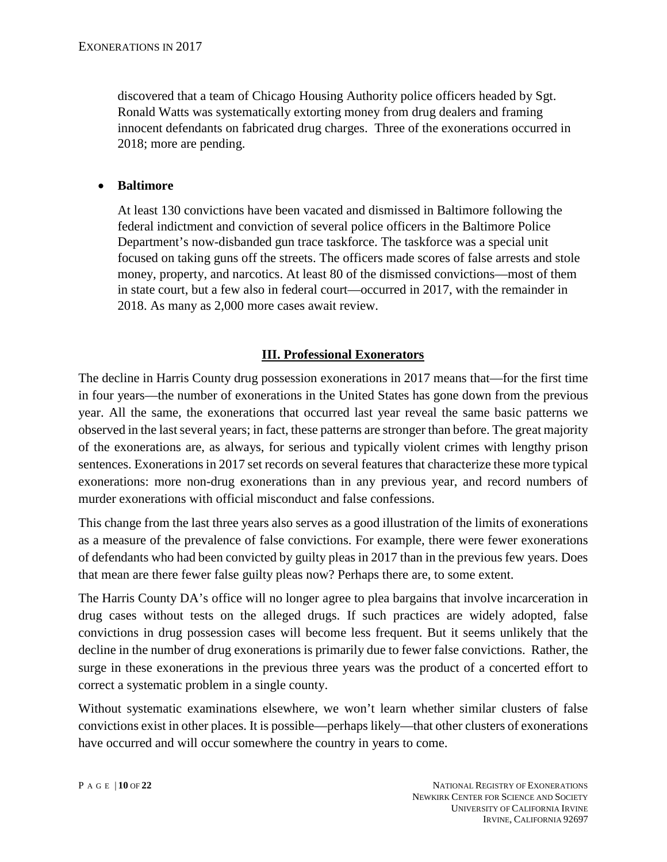discovered that a team of Chicago Housing Authority police officers headed by Sgt. Ronald Watts was systematically extorting money from drug dealers and framing innocent defendants on fabricated drug charges. Three of the exonerations occurred in 2018; more are pending.

#### • **Baltimore**

At least 130 convictions have been vacated and dismissed in Baltimore following the federal indictment and conviction of several police officers in the Baltimore Police Department's now-disbanded gun trace taskforce. The taskforce was a special unit focused on taking guns off the streets. The officers made scores of false arrests and stole money, property, and narcotics. At least 80 of the dismissed convictions—most of them in state court, but a few also in federal court—occurred in 2017, with the remainder in 2018. As many as 2,000 more cases await review.

#### **III. Professional Exonerators**

The decline in Harris County drug possession exonerations in 2017 means that—for the first time in four years—the number of exonerations in the United States has gone down from the previous year. All the same, the exonerations that occurred last year reveal the same basic patterns we observed in the last several years; in fact, these patterns are stronger than before. The great majority of the exonerations are, as always, for serious and typically violent crimes with lengthy prison sentences. Exonerations in 2017 set records on several features that characterize these more typical exonerations: more non-drug exonerations than in any previous year, and record numbers of murder exonerations with official misconduct and false confessions.

This change from the last three years also serves as a good illustration of the limits of exonerations as a measure of the prevalence of false convictions. For example, there were fewer exonerations of defendants who had been convicted by guilty pleas in 2017 than in the previous few years. Does that mean are there fewer false guilty pleas now? Perhaps there are, to some extent.

The Harris County DA's office will no longer agree to plea bargains that involve incarceration in drug cases without tests on the alleged drugs. If such practices are widely adopted, false convictions in drug possession cases will become less frequent. But it seems unlikely that the decline in the number of drug exonerations is primarily due to fewer false convictions. Rather, the surge in these exonerations in the previous three years was the product of a concerted effort to correct a systematic problem in a single county.

Without systematic examinations elsewhere, we won't learn whether similar clusters of false convictions exist in other places. It is possible—perhaps likely—that other clusters of exonerations have occurred and will occur somewhere the country in years to come.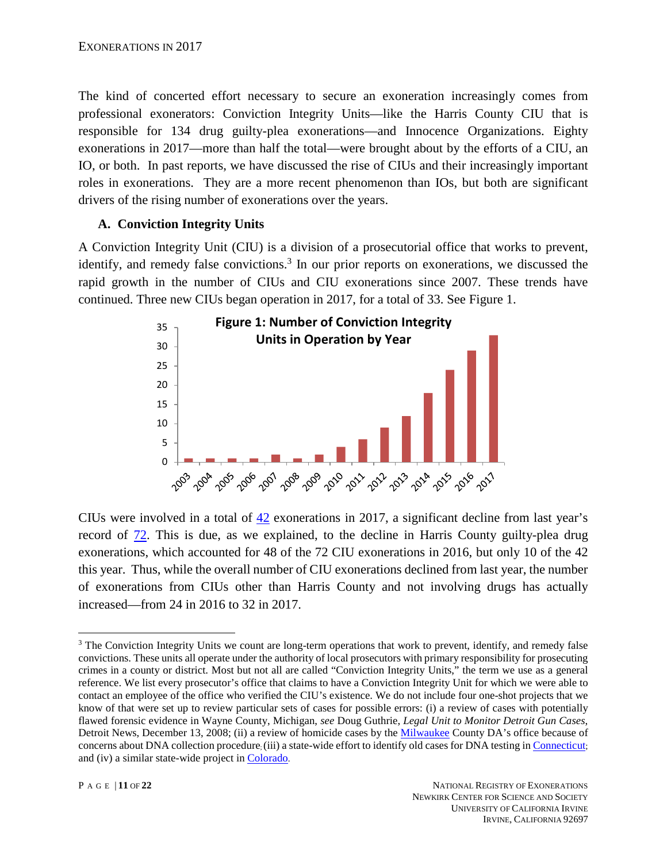The kind of concerted effort necessary to secure an exoneration increasingly comes from professional exonerators: Conviction Integrity Units—like the Harris County CIU that is responsible for 134 drug guilty-plea exonerations—and Innocence Organizations. Eighty exonerations in 2017—more than half the total—were brought about by the efforts of a CIU, an IO, or both. In past reports, we have discussed the rise of CIUs and their increasingly important roles in exonerations. They are a more recent phenomenon than IOs, but both are significant drivers of the rising number of exonerations over the years.

# **A. Conviction Integrity Units**

A Conviction Integrity Unit (CIU) is a division of a prosecutorial office that works to prevent, identify, and remedy false convictions.<sup>3</sup> In our prior reports on exonerations, we discussed the rapid growth in the number of CIUs and CIU exonerations since 2007. These trends have continued. Three new CIUs began operation in 2017, for a total of 33. See Figure 1.



CIUs were involved in a total of [42](http://www.law.umich.edu/special/exoneration/Pages/detaillist.aspx?View=%7BFAF6EDDB-5A68-4F8F-8A52-2C61F5BF9EA7%7D&FilterField1=Group&FilterValue1=CIU&FilterField2=Exonerated&FilterValue2=8_2017) exonerations in 2017, a significant decline from last year's record of [72.](http://www.law.umich.edu/special/exoneration/Pages/detaillist.aspx?View=%7BFAF6EDDB-5A68-4F8F-8A52-2C61F5BF9EA7%7D&FilterField1=Group&FilterValue1=CIU&FilterField2=Exonerated&FilterValue2=8_2016) This is due, as we explained, to the decline in Harris County guilty-plea drug exonerations, which accounted for 48 of the 72 CIU exonerations in 2016, but only 10 of the 42 this year. Thus, while the overall number of CIU exonerations declined from last year, the number of exonerations from CIUs other than Harris County and not involving drugs has actually increased—from 24 in 2016 to 32 in 2017.

 $\overline{a}$ <sup>3</sup> The Conviction Integrity Units we count are long-term operations that work to prevent, identify, and remedy false convictions. These units all operate under the authority of local prosecutors with primary responsibility for prosecuting crimes in a county or district. Most but not all are called "Conviction Integrity Units," the term we use as a general reference. We list every prosecutor's office that claims to have a Conviction Integrity Unit for which we were able to contact an employee of the office who verified the CIU's existence. We do not include four one-shot projects that we know of that were set up to review particular sets of cases for possible errors: (i) a review of cases with potentially flawed forensic evidence in Wayne County, Michigan, *see* Doug Guthrie, *Legal Unit to Monitor Detroit Gun Cases*, Detroit News, December 13, 2008; (ii) a review of homicide cases by the [Milwaukee](http://www.cnsnews.com/news/article/look-conviction-review-initiatives-nationwide) County DA's office because of concerns about DNA collection procedure; (iii) a state-wide effort to identify old cases for DNA testing i[n Connecticut;](http://www.ct.gov/csao/cwp/view.asp?a=1801&q=545362) and (iv) a similar state-wide project in [Colorado.](http://grants.ojp.usdoj.gov:85/selector/title?solicitationTitle=NIJ%20FY%2009%20Postconviction%20DNA%20Testing%20Assistance%20Program&po=NIJ)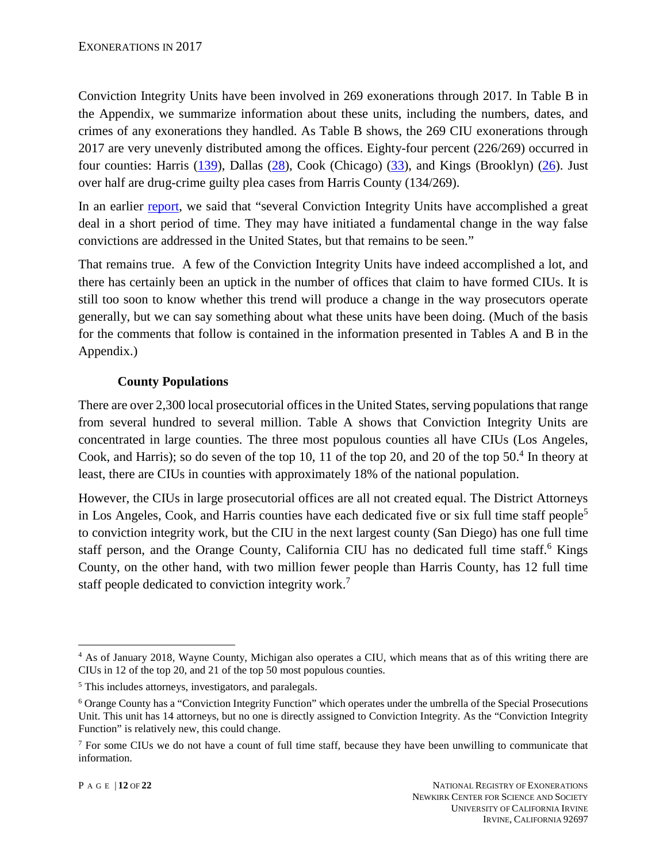Conviction Integrity Units have been involved in 269 exonerations through 2017. In Table B in the Appendix, we summarize information about these units, including the numbers, dates, and crimes of any exonerations they handled. As Table B shows, the 269 CIU exonerations through 2017 are very unevenly distributed among the offices. Eighty-four percent (226/269) occurred in four counties: Harris [\(139\)](http://www.law.umich.edu/special/exoneration/Pages/detaillist.aspx?View=%7bfaf6eddb-5a68-4f8f-8a52-2c61f5bf9ea7%7d&FilterField1=Group&FilterValue1=CIU&SortField=Exonerated&SortDir=Asc&FilterField2=County_x0020_of_x0020_Crime&FilterValue2=Harris), Dallas [\(28\)](http://www.law.umich.edu/special/exoneration/Pages/detaillist.aspx?View=%7bfaf6eddb-5a68-4f8f-8a52-2c61f5bf9ea7%7d&FilterField1=Group&FilterValue1=CIU&SortField=Exonerated&SortDir=Asc&FilterField2=County_x0020_of_x0020_Crime&FilterValue2=Dallas), Cook (Chicago) [\(33\)](http://www.law.umich.edu/special/exoneration/Pages/detaillist.aspx?View=%7bFAF6EDDB-5A68-4F8F-8A52-2C61F5BF9EA7%7d&FilterField1=Group&FilterValue1=CIU&FilterField2=County_x0020_of_x0020_Crime&FilterValue2=Cook), and Kings (Brooklyn) [\(26\)](http://www.law.umich.edu/special/exoneration/Pages/detaillist.aspx?View=%7bfaf6eddb-5a68-4f8f-8a52-2c61f5bf9ea7%7d&FilterField1=Group&FilterValue1=CIU&SortField=Exonerated&SortDir=Asc&FilterField2=County_x0020_of_x0020_Crime&FilterValue2=Kings). Just over half are drug-crime guilty plea cases from Harris County (134/269).

In an earlier [report,](https://www.law.umich.edu/special/exoneration/Documents/Exonerations_in_2014_report.pdf) we said that "several Conviction Integrity Units have accomplished a great deal in a short period of time. They may have initiated a fundamental change in the way false convictions are addressed in the United States, but that remains to be seen."

That remains true. A few of the Conviction Integrity Units have indeed accomplished a lot, and there has certainly been an uptick in the number of offices that claim to have formed CIUs. It is still too soon to know whether this trend will produce a change in the way prosecutors operate generally, but we can say something about what these units have been doing. (Much of the basis for the comments that follow is contained in the information presented in Tables A and B in the Appendix.)

## **County Populations**

There are over 2,300 local prosecutorial offices in the United States, serving populations that range from several hundred to several million. Table A shows that Conviction Integrity Units are concentrated in large counties. The three most populous counties all have CIUs (Los Angeles, Cook, and Harris); so do seven of the top 10, 11 of the top 20, and 20 of the top 50.<sup>4</sup> In theory at least, there are CIUs in counties with approximately 18% of the national population.

However, the CIUs in large prosecutorial offices are all not created equal. The District Attorneys in Los Angeles, Cook, and Harris counties have each dedicated five or six full time staff people<sup>5</sup> to conviction integrity work, but the CIU in the next largest county (San Diego) has one full time staff person, and the Orange County, California CIU has no dedicated full time staff.<sup>6</sup> Kings County, on the other hand, with two million fewer people than Harris County, has 12 full time staff people dedicated to conviction integrity work.<sup>7</sup>

 $\overline{a}$ <sup>4</sup> As of January 2018, Wayne County, Michigan also operates a CIU, which means that as of this writing there are CIUs in 12 of the top 20, and 21 of the top 50 most populous counties.

<sup>5</sup> This includes attorneys, investigators, and paralegals.

<sup>6</sup> Orange County has a "Conviction Integrity Function" which operates under the umbrella of the Special Prosecutions Unit. This unit has 14 attorneys, but no one is directly assigned to Conviction Integrity. As the "Conviction Integrity Function" is relatively new, this could change.

 $<sup>7</sup>$  For some CIUs we do not have a count of full time staff, because they have been unwilling to communicate that</sup> information.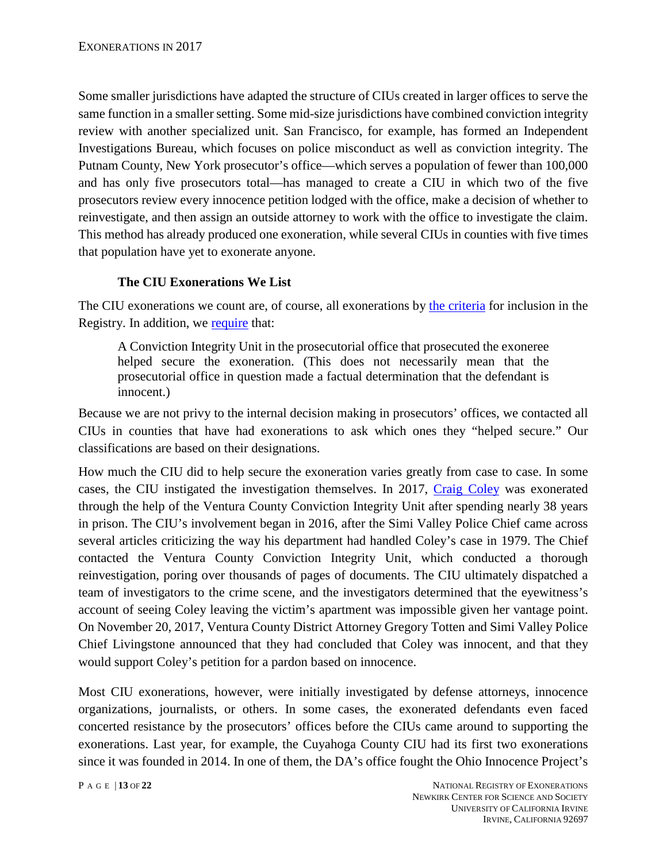Some smaller jurisdictions have adapted the structure of CIUs created in larger offices to serve the same function in a smaller setting. Some mid-size jurisdictions have combined conviction integrity review with another specialized unit. San Francisco, for example, has formed an Independent Investigations Bureau, which focuses on police misconduct as well as conviction integrity. The Putnam County, New York prosecutor's office—which serves a population of fewer than 100,000 and has only five prosecutors total—has managed to create a CIU in which two of the five prosecutors review every innocence petition lodged with the office, make a decision of whether to reinvestigate, and then assign an outside attorney to work with the office to investigate the claim. This method has already produced one exoneration, while several CIUs in counties with five times that population have yet to exonerate anyone.

# **The CIU Exonerations We List**

The CIU exonerations we count are, of course, all exonerations by [the criteria](https://www.law.umich.edu/special/exoneration/Pages/glossary.aspx) for inclusion in the Registry. In addition, we [require](https://www.law.umich.edu/special/exoneration/Pages/glossary.aspx#CIU) that:

A Conviction Integrity Unit in the prosecutorial office that prosecuted the exoneree helped secure the exoneration. (This does not necessarily mean that the prosecutorial office in question made a factual determination that the defendant is innocent.)

Because we are not privy to the internal decision making in prosecutors' offices, we contacted all CIUs in counties that have had exonerations to ask which ones they "helped secure." Our classifications are based on their designations.

How much the CIU did to help secure the exoneration varies greatly from case to case. In some cases, the CIU instigated the investigation themselves. In 2017, [Craig Coley](http://www.law.umich.edu/special/exoneration/Pages/casedetail.aspx?caseid=5239) was exonerated through the help of the Ventura County Conviction Integrity Unit after spending nearly 38 years in prison. The CIU's involvement began in 2016, after the Simi Valley Police Chief came across several articles criticizing the way his department had handled Coley's case in 1979. The Chief contacted the Ventura County Conviction Integrity Unit, which conducted a thorough reinvestigation, poring over thousands of pages of documents. The CIU ultimately dispatched a team of investigators to the crime scene, and the investigators determined that the eyewitness's account of seeing Coley leaving the victim's apartment was impossible given her vantage point. On November 20, 2017, Ventura County District Attorney Gregory Totten and Simi Valley Police Chief Livingstone announced that they had concluded that Coley was innocent, and that they would support Coley's petition for a pardon based on innocence.

Most CIU exonerations, however, were initially investigated by defense attorneys, innocence organizations, journalists, or others. In some cases, the exonerated defendants even faced concerted resistance by the prosecutors' offices before the CIUs came around to supporting the exonerations. Last year, for example, the Cuyahoga County CIU had its first two exonerations since it was founded in 2014. In one of them, the DA's office fought the Ohio Innocence Project's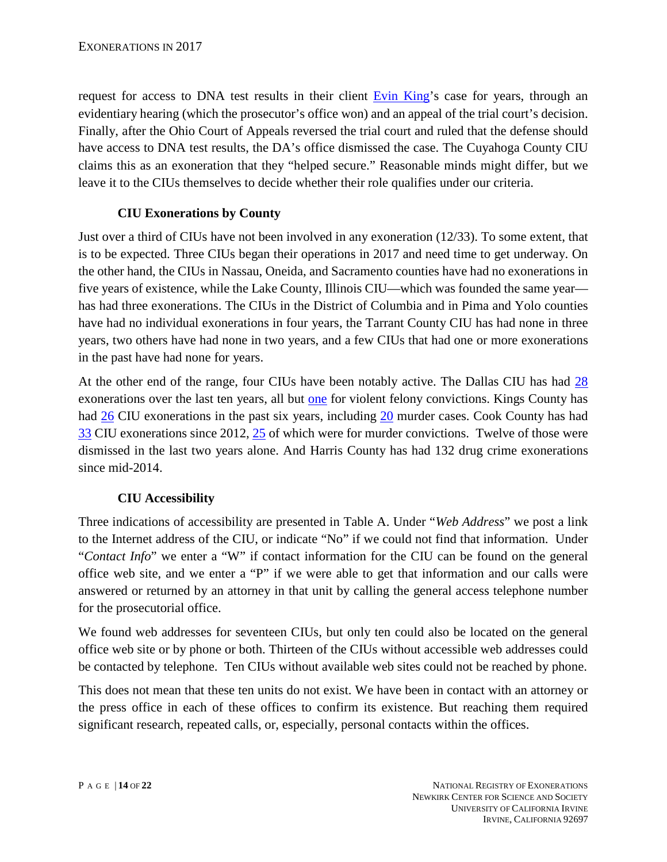request for access to DNA test results in their client [Evin King'](http://www.law.umich.edu/special/exoneration/Pages/casedetail.aspx?caseid=5231)s case for years, through an evidentiary hearing (which the prosecutor's office won) and an appeal of the trial court's decision. Finally, after the Ohio Court of Appeals reversed the trial court and ruled that the defense should have access to DNA test results, the DA's office dismissed the case. The Cuyahoga County CIU claims this as an exoneration that they "helped secure." Reasonable minds might differ, but we leave it to the CIUs themselves to decide whether their role qualifies under our criteria.

# **CIU Exonerations by County**

Just over a third of CIUs have not been involved in any exoneration (12/33). To some extent, that is to be expected. Three CIUs began their operations in 2017 and need time to get underway. On the other hand, the CIUs in Nassau, Oneida, and Sacramento counties have had no exonerations in five years of existence, while the Lake County, Illinois CIU—which was founded the same year has had three exonerations. The CIUs in the District of Columbia and in Pima and Yolo counties have had no individual exonerations in four years, the Tarrant County CIU has had none in three years, two others have had none in two years, and a few CIUs that had one or more exonerations in the past have had none for years.

At the other end of the range, four CIUs have been notably active. The Dallas CIU has had [28](http://www.law.umich.edu/special/exoneration/Pages/detaillist.aspx?View=%7bfaf6eddb-5a68-4f8f-8a52-2c61f5bf9ea7%7d&FilterField1=County_x0020_of_x0020_Crime&FilterValue1=Dallas&FilterField2=Group&FilterValue2=CIU&SortField=Exonerated&SortDir=Asc) exonerations over the last ten years, all but [one](http://www.law.umich.edu/special/exoneration/Pages/detaillist.aspx?View=%7Bfaf6eddb-5a68-4f8f-8a52-2c61f5bf9ea7%7D&FilterField1=County_x0020_of_x0020_Crime&FilterValue1=Dallas&FilterField2=Group&FilterValue2=CIU&SortField=Exonerated&SortDir=Asc&FilterField3=Crime&FilterValue3=8_Sex%20Offender%20Registration) for violent felony convictions. Kings County has had [26](http://www.law.umich.edu/special/exoneration/Pages/detaillist.aspx?View=%7bfaf6eddb-5a68-4f8f-8a52-2c61f5bf9ea7%7d&FilterField1=County_x0020_of_x0020_Crime&FilterValue1=Kings&FilterField2=Group&FilterValue2=CIU&&SortField=Exonerated&SortDir=Asc) CIU exonerations in the past six years, including [20](http://www.law.umich.edu/special/exoneration/Pages/detaillist.aspx?View=%7bfaf6eddb-5a68-4f8f-8a52-2c61f5bf9ea7%7d&FilterField1=County_x0020_of_x0020_Crime&FilterValue1=Kings&FilterField2=Group&FilterValue2=CIU&SortField=Exonerated&SortDir=Asc&FilterField3=Crime&FilterValue3=8_Murder) murder cases. Cook County has had [33](https://www.law.umich.edu/special/exoneration/Pages/detaillist.aspx?View=%7bFAF6EDDB-5A68-4F8F-8A52-2C61F5BF9EA7%7d&FilterField1=Group&FilterValue1=CIU&FilterField2=County_x0020_of_x0020_Crime&FilterValue2=Cook) CIU exonerations since 2012, [25](https://www.law.umich.edu/special/exoneration/Pages/detaillist.aspx?View=%7bFAF6EDDB-5A68-4F8F-8A52-2C61F5BF9EA7%7d&FilterField1=Group&FilterValue1=CIU&FilterField2=County_x0020_of_x0020_Crime&FilterValue2=Cook&FilterField3=Crime&FilterValue3=8_Murder) of which were for murder convictions. Twelve of those were dismissed in the last two years alone. And Harris County has had 132 drug crime exonerations since mid-2014.

# **CIU Accessibility**

Three indications of accessibility are presented in Table A. Under "*Web Address*" we post a link to the Internet address of the CIU, or indicate "No" if we could not find that information. Under "*Contact Info*" we enter a "W" if contact information for the CIU can be found on the general office web site, and we enter a "P" if we were able to get that information and our calls were answered or returned by an attorney in that unit by calling the general access telephone number for the prosecutorial office.

We found web addresses for seventeen CIUs, but only ten could also be located on the general office web site or by phone or both. Thirteen of the CIUs without accessible web addresses could be contacted by telephone. Ten CIUs without available web sites could not be reached by phone.

This does not mean that these ten units do not exist. We have been in contact with an attorney or the press office in each of these offices to confirm its existence. But reaching them required significant research, repeated calls, or, especially, personal contacts within the offices.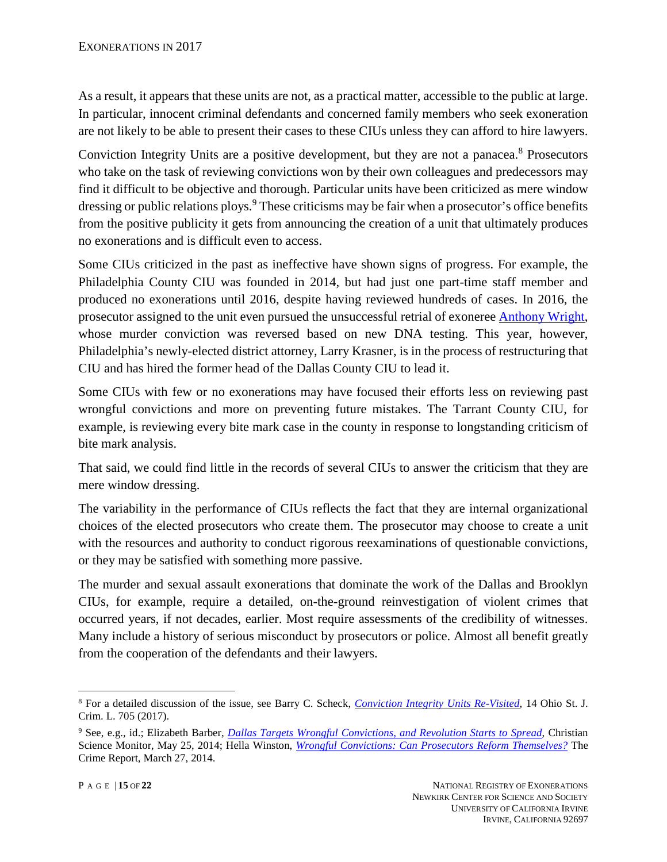As a result, it appears that these units are not, as a practical matter, accessible to the public at large. In particular, innocent criminal defendants and concerned family members who seek exoneration are not likely to be able to present their cases to these CIUs unless they can afford to hire lawyers.

Conviction Integrity Units are a positive development, but they are not a panacea.<sup>8</sup> Prosecutors who take on the task of reviewing convictions won by their own colleagues and predecessors may find it difficult to be objective and thorough. Particular units have been criticized as mere window dressing or public relations ploys.<sup>9</sup> These criticisms may be fair when a prosecutor's office benefits from the positive publicity it gets from announcing the creation of a unit that ultimately produces no exonerations and is difficult even to access.

Some CIUs criticized in the past as ineffective have shown signs of progress. For example, the Philadelphia County CIU was founded in 2014, but had just one part-time staff member and produced no exonerations until 2016, despite having reviewed hundreds of cases. In 2016, the prosecutor assigned to the unit even pursued the unsuccessful retrial of exoneree [Anthony Wright,](https://www.law.umich.edu/special/exoneration/Pages/casedetail.aspx?caseid=4970) whose murder conviction was reversed based on new DNA testing. This year, however, Philadelphia's newly-elected district attorney, Larry Krasner, is in the process of restructuring that CIU and has hired the former head of the Dallas County CIU to lead it.

Some CIUs with few or no exonerations may have focused their efforts less on reviewing past wrongful convictions and more on preventing future mistakes. The Tarrant County CIU, for example, is reviewing every bite mark case in the county in response to longstanding criticism of bite mark analysis.

That said, we could find little in the records of several CIUs to answer the criticism that they are mere window dressing.

The variability in the performance of CIUs reflects the fact that they are internal organizational choices of the elected prosecutors who create them. The prosecutor may choose to create a unit with the resources and authority to conduct rigorous reexaminations of questionable convictions, or they may be satisfied with something more passive.

The murder and sexual assault exonerations that dominate the work of the Dallas and Brooklyn CIUs, for example, require a detailed, on-the-ground reinvestigation of violent crimes that occurred years, if not decades, earlier. Most require assessments of the credibility of witnesses. Many include a history of serious misconduct by prosecutors or police. Almost all benefit greatly from the cooperation of the defendants and their lawyers.

<sup>8</sup> For a detailed discussion of the issue, see Barry C. Scheck, *[Conviction Integrity Units Re-Visited](http://moritzlaw.osu.edu/students/groups/osjcl/files/2017/04/15-Scheck.pdf)*, 14 Ohio St. J. Crim. L. 705 (2017).

<sup>9</sup> See, e.g., id.; Elizabeth Barber, *[Dallas Targets Wrongful Convictions, and Revolution Starts to Spread](http://www.csmonitor.com/USA/Justice/2014/0525/Dallas-targets-wrongful-convictions-and-revolution-starts-to-spread)*, Christian Science Monitor, May 25, 2014; Hella Winston, *[Wrongful Convictions: Can Prosecutors Reform Themselves?](http://www.thecrimereport.org/news/inside-criminal-justice/2014-03-wrongful-convictions-can-prosecutors-reform-themselv)* The Crime Report, March 27, 2014.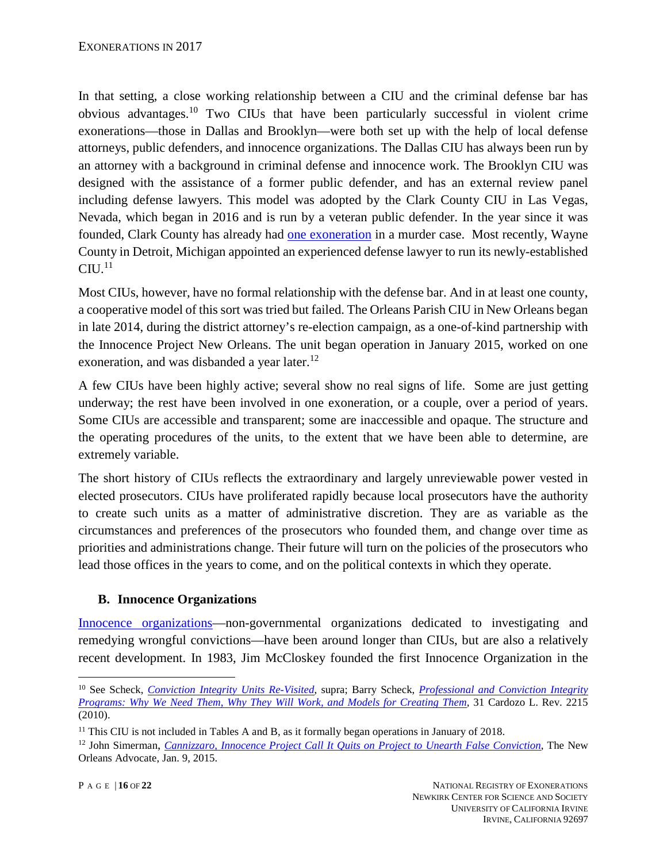In that setting, a close working relationship between a CIU and the criminal defense bar has obvious advantages.10 Two CIUs that have been particularly successful in violent crime exonerations—those in Dallas and Brooklyn—were both set up with the help of local defense attorneys, public defenders, and innocence organizations. The Dallas CIU has always been run by an attorney with a background in criminal defense and innocence work. The Brooklyn CIU was designed with the assistance of a former public defender, and has an external review panel including defense lawyers. This model was adopted by the Clark County CIU in Las Vegas, Nevada, which began in 2016 and is run by a veteran public defender. In the year since it was founded, Clark County has already had [one exoneration](http://www.law.umich.edu/special/exoneration/Pages/casedetail.aspx?caseid=5165) in a murder case. Most recently, Wayne County in Detroit, Michigan appointed an experienced defense lawyer to run its newly-established  $\rm CIU.$  $^{11}$ 

Most CIUs, however, have no formal relationship with the defense bar. And in at least one county, a cooperative model of this sort was tried but failed. The Orleans Parish CIU in New Orleans began in late 2014, during the district attorney's re-election campaign, as a one-of-kind partnership with the Innocence Project New Orleans. The unit began operation in January 2015, worked on one exoneration, and was disbanded a year later.<sup>12</sup>

A few CIUs have been highly active; several show no real signs of life. Some are just getting underway; the rest have been involved in one exoneration, or a couple, over a period of years. Some CIUs are accessible and transparent; some are inaccessible and opaque. The structure and the operating procedures of the units, to the extent that we have been able to determine, are extremely variable.

The short history of CIUs reflects the extraordinary and largely unreviewable power vested in elected prosecutors. CIUs have proliferated rapidly because local prosecutors have the authority to create such units as a matter of administrative discretion. They are as variable as the circumstances and preferences of the prosecutors who founded them, and change over time as priorities and administrations change. Their future will turn on the policies of the prosecutors who lead those offices in the years to come, and on the political contexts in which they operate.

# **B. Innocence Organizations**

[Innocence organizations—](https://www.law.umich.edu/special/exoneration/Pages/glossary.aspx#ILD)non-governmental organizations dedicated to investigating and remedying wrongful convictions—have been around longer than CIUs, but are also a relatively recent development. In 1983, Jim McCloskey founded the first Innocence Organization in the

<sup>10</sup> See Scheck, *[Conviction Integrity Units Re-Visited](https://ssrn.com/abstract=2890341)*, supra; Barry Scheck, *[Professional and Conviction Integrity](https://papers.ssrn.com/sol3/papers2.cfm?abstract_id=1684690)  [Programs: Why We Need Them, Why They Will Work, and Models for Creating Them](https://papers.ssrn.com/sol3/papers2.cfm?abstract_id=1684690)*, 31 Cardozo L. Rev. 2215 (2010).

<sup>&</sup>lt;sup>11</sup> This CIU is not included in Tables A and B, as it formally began operations in January of 2018.

<sup>12</sup> John Simerman, *[Cannizzaro, Innocence Project Call It Quits on Project to Unearth False Conviction](http://www.theneworleansadvocate.com/news/14502358-64/cannizzaro-innocence-project-call-it-quits-on-project-to-unearth-false-convictions)*, The New Orleans Advocate, Jan. 9, 2015.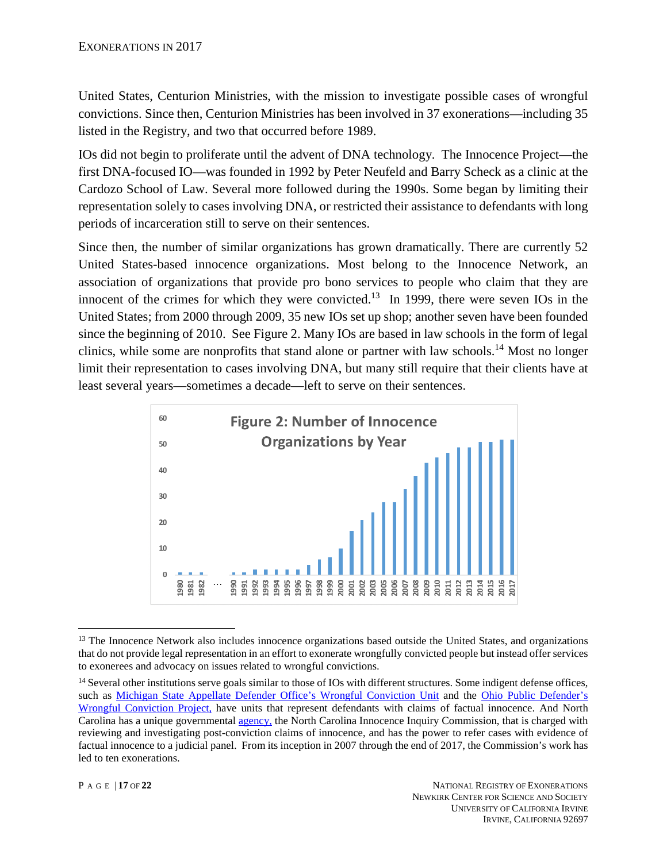United States, Centurion Ministries, with the mission to investigate possible cases of wrongful convictions. Since then, Centurion Ministries has been involved in 37 exonerations—including 35 listed in the Registry, and two that occurred before 1989.

IOs did not begin to proliferate until the advent of DNA technology. The Innocence Project—the first DNA-focused IO—was founded in 1992 by Peter Neufeld and Barry Scheck as a clinic at the Cardozo School of Law. Several more followed during the 1990s. Some began by limiting their representation solely to cases involving DNA, or restricted their assistance to defendants with long periods of incarceration still to serve on their sentences.

Since then, the number of similar organizations has grown dramatically. There are currently 52 United States-based innocence organizations. Most belong to the Innocence Network, an association of organizations that provide pro bono services to people who claim that they are innocent of the crimes for which they were convicted.<sup>13</sup> In 1999, there were seven IOs in the United States; from 2000 through 2009, 35 new IOs set up shop; another seven have been founded since the beginning of 2010. See Figure 2. Many IOs are based in law schools in the form of legal clinics, while some are nonprofits that stand alone or partner with law schools.<sup>14</sup> Most no longer limit their representation to cases involving DNA, but many still require that their clients have at least several years—sometimes a decade—left to serve on their sentences.



<sup>&</sup>lt;sup>13</sup> The Innocence Network also includes innocence organizations based outside the United States, and organizations that do not provide legal representation in an effort to exonerate wrongfully convicted people but instead offer services to exonerees and advocacy on issues related to wrongful convictions.

<sup>&</sup>lt;sup>14</sup> Several other institutions serve goals similar to those of IOs with different structures. Some indigent defense offices, such as <u>Michigan State Appellate Defender Office's Wrongful Conviction Unit</u> and the Ohio Public Defender's [Wrongful Conviction Project,](http://opd.ohio.gov/Trial-Services/Wrongful-Conviction-Project) have units that represent defendants with claims of factual innocence. And North Carolina has a unique governmental [agency,](http://innocencecommission-nc.gov/about/) the North Carolina Innocence Inquiry Commission, that is charged with reviewing and investigating post-conviction claims of innocence, and has the power to refer cases with evidence of factual innocence to a judicial panel. From its inception in 2007 through the end of 2017, the Commission's work has led to ten exonerations.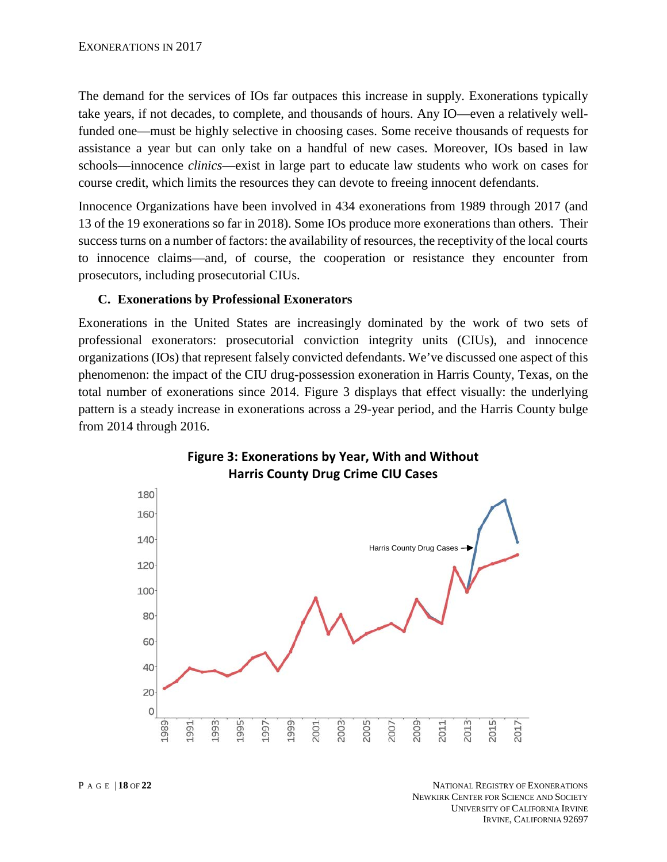The demand for the services of IOs far outpaces this increase in supply. Exonerations typically take years, if not decades, to complete, and thousands of hours. Any IO—even a relatively wellfunded one—must be highly selective in choosing cases. Some receive thousands of requests for assistance a year but can only take on a handful of new cases. Moreover, IOs based in law schools—innocence *clinics*—exist in large part to educate law students who work on cases for course credit, which limits the resources they can devote to freeing innocent defendants.

Innocence Organizations have been involved in 434 exonerations from 1989 through 2017 (and 13 of the 19 exonerations so far in 2018). Some IOs produce more exonerations than others. Their success turns on a number of factors: the availability of resources, the receptivity of the local courts to innocence claims—and, of course, the cooperation or resistance they encounter from prosecutors, including prosecutorial CIUs.

## **C. Exonerations by Professional Exonerators**

Exonerations in the United States are increasingly dominated by the work of two sets of professional exonerators: prosecutorial conviction integrity units (CIUs), and innocence organizations (IOs) that represent falsely convicted defendants. We've discussed one aspect of this phenomenon: the impact of the CIU drug-possession exoneration in Harris County, Texas, on the total number of exonerations since 2014. Figure 3 displays that effect visually: the underlying pattern is a steady increase in exonerations across a 29-year period, and the Harris County bulge from 2014 through 2016.



# **Figure 3: Exonerations by Year, With and Without Harris County Drug Crime CIU Cases**

P AGE | **18** OF **22** NATIONAL REGISTRY OF EXONERATIONS NEWKIRK CENTER FOR SCIENCE AND SOCIETY UNIVERSITY OF CALIFORNIA IRVINE IRVINE, CALIFORNIA 92697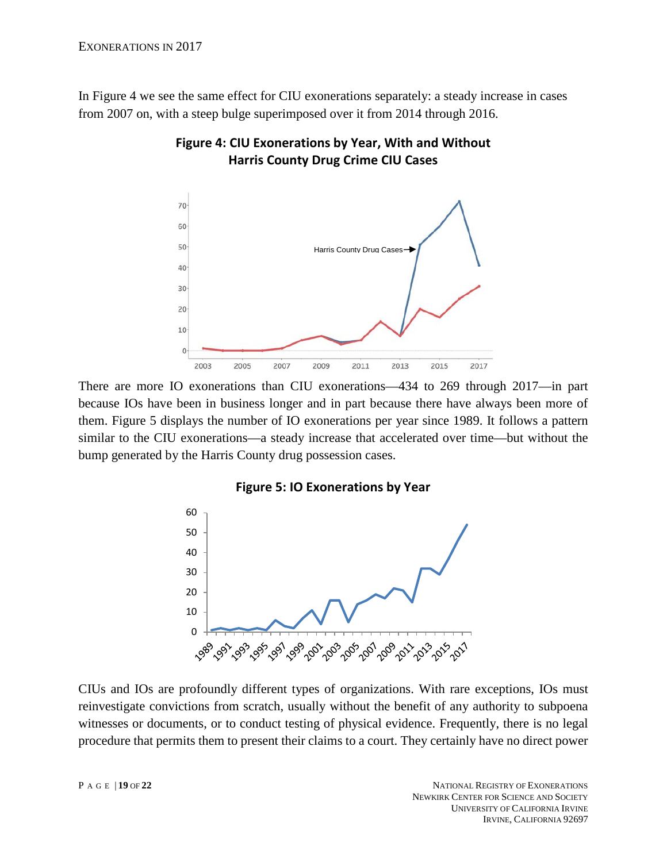In Figure 4 we see the same effect for CIU exonerations separately: a steady increase in cases from 2007 on, with a steep bulge superimposed over it from 2014 through 2016.



**Figure 4: CIU Exonerations by Year, With and Without Harris County Drug Crime CIU Cases**

There are more IO exonerations than CIU exonerations—434 to 269 through 2017—in part because IOs have been in business longer and in part because there have always been more of them. Figure 5 displays the number of IO exonerations per year since 1989. It follows a pattern similar to the CIU exonerations—a steady increase that accelerated over time—but without the bump generated by the Harris County drug possession cases.

#### **Figure 5: IO Exonerations by Year**



CIUs and IOs are profoundly different types of organizations. With rare exceptions, IOs must reinvestigate convictions from scratch, usually without the benefit of any authority to subpoena witnesses or documents, or to conduct testing of physical evidence. Frequently, there is no legal procedure that permits them to present their claims to a court. They certainly have no direct power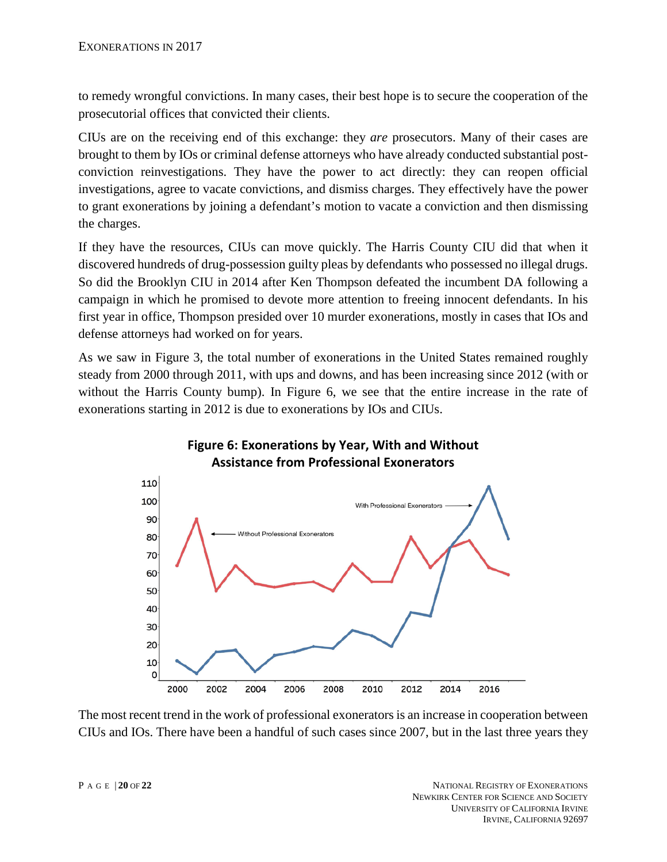to remedy wrongful convictions. In many cases, their best hope is to secure the cooperation of the prosecutorial offices that convicted their clients.

CIUs are on the receiving end of this exchange: they *are* prosecutors. Many of their cases are brought to them by IOs or criminal defense attorneys who have already conducted substantial postconviction reinvestigations. They have the power to act directly: they can reopen official investigations, agree to vacate convictions, and dismiss charges. They effectively have the power to grant exonerations by joining a defendant's motion to vacate a conviction and then dismissing the charges.

If they have the resources, CIUs can move quickly. The Harris County CIU did that when it discovered hundreds of drug-possession guilty pleas by defendants who possessed no illegal drugs. So did the Brooklyn CIU in 2014 after Ken Thompson defeated the incumbent DA following a campaign in which he promised to devote more attention to freeing innocent defendants. In his first year in office, Thompson presided over 10 murder exonerations, mostly in cases that IOs and defense attorneys had worked on for years.

As we saw in Figure 3, the total number of exonerations in the United States remained roughly steady from 2000 through 2011, with ups and downs, and has been increasing since 2012 (with or without the Harris County bump). In Figure 6, we see that the entire increase in the rate of exonerations starting in 2012 is due to exonerations by IOs and CIUs.



# **Figure 6: Exonerations by Year, With and Without Assistance from Professional Exonerators**

The most recent trend in the work of professional exonerators is an increase in cooperation between CIUs and IOs. There have been a handful of such cases since 2007, but in the last three years they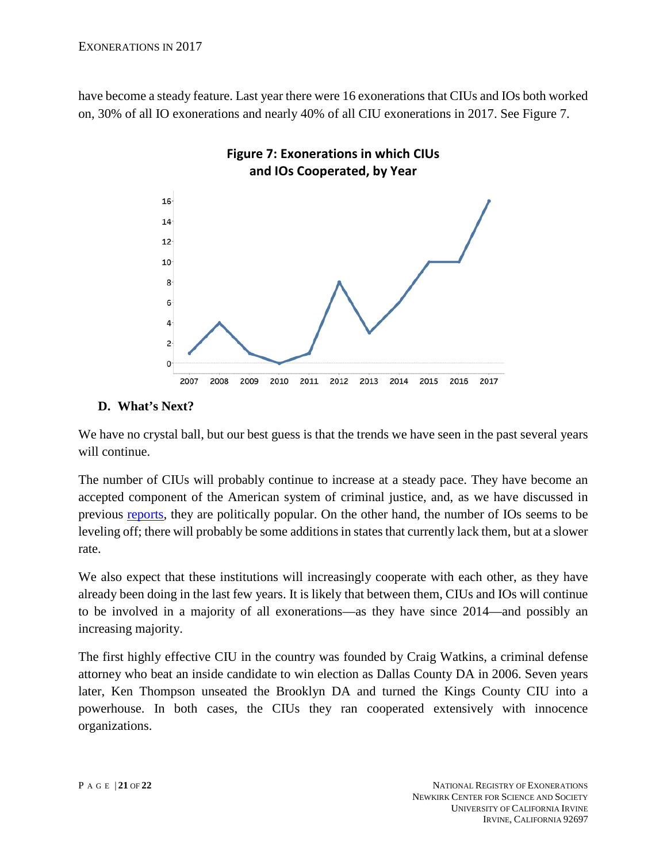have become a steady feature. Last year there were 16 exonerations that CIUs and IOs both worked on, 30% of all IO exonerations and nearly 40% of all CIU exonerations in 2017. See Figure 7.



## **D. What's Next?**

We have no crystal ball, but our best guess is that the trends we have seen in the past several years will continue.

The number of CIUs will probably continue to increase at a steady pace. They have become an accepted component of the American system of criminal justice, and, as we have discussed in previous [reports,](https://www.law.umich.edu/special/exoneration/Documents/Exonerations_in_2014_report.pdf) they are politically popular. On the other hand, the number of IOs seems to be leveling off; there will probably be some additions in states that currently lack them, but at a slower rate.

We also expect that these institutions will increasingly cooperate with each other, as they have already been doing in the last few years. It is likely that between them, CIUs and IOs will continue to be involved in a majority of all exonerations—as they have since 2014—and possibly an increasing majority.

The first highly effective CIU in the country was founded by Craig Watkins, a criminal defense attorney who beat an inside candidate to win election as Dallas County DA in 2006. Seven years later, Ken Thompson unseated the Brooklyn DA and turned the Kings County CIU into a powerhouse. In both cases, the CIUs they ran cooperated extensively with innocence organizations.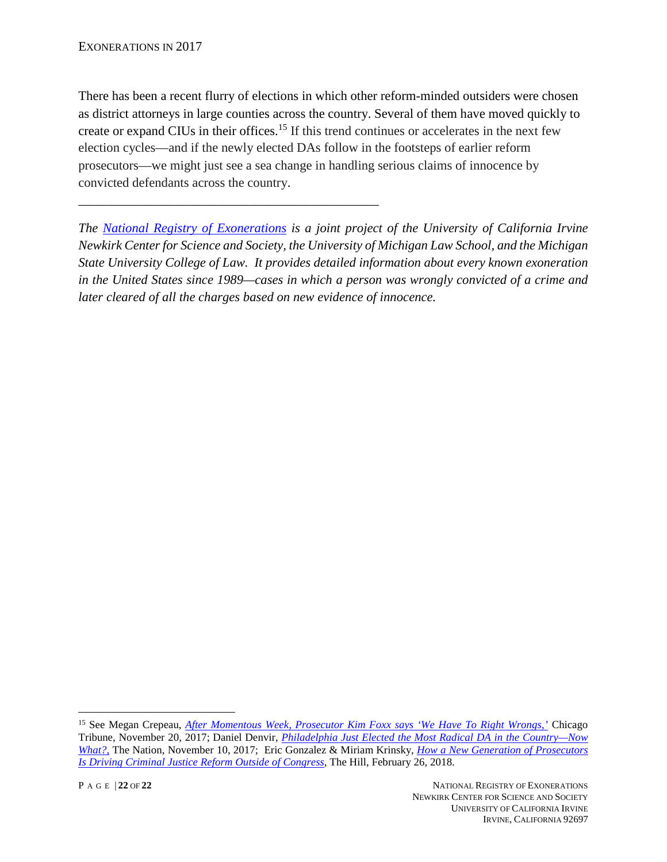There has been a recent flurry of elections in which other reform-minded outsiders were chosen as district attorneys in large counties across the country. Several of them have moved quickly to create or expand CIUs in their offices. <sup>15</sup> If this trend continues or accelerates in the next few election cycles—and if the newly elected DAs follow in the footsteps of earlier reform prosecutors—we might just see a sea change in handling serious claims of innocence by convicted defendants across the country.

\_\_\_\_\_\_\_\_\_\_\_\_\_\_\_\_\_\_\_\_\_\_\_\_\_\_\_\_\_\_\_\_\_\_\_\_\_\_\_\_\_\_\_\_\_\_

*The [National Registry of Exonerations](http://www.law.umich.edu/special/exoneration/Pages/about.aspx) is a joint project of the University of California Irvine Newkirk Center for Science and Society, the University of Michigan Law School, and the Michigan State University College of Law. It provides detailed information about every known exoneration in the United States since 1989—cases in which a person was wrongly convicted of a crime and later cleared of all the charges based on new evidence of innocence.* 

<sup>15</sup> See Megan Crepeau, *[After Momentous Week, Prosecutor Kim Foxx says 'We Have To Right Wrongs,'](http://www.chicagotribune.com/news/local/breaking/ct-met-kim-foxx-wrongful-convictions-20171117-story.html)* Chicago Tribune, November 20, 2017; Daniel Denvir, *[Philadelphia Just Elected the Most Radical DA in the Country—Now](https://www.thenation.com/article/philadelphia-just-elected-the-most-radical-da-in-the-country-now-what/)  [What?,](https://www.thenation.com/article/philadelphia-just-elected-the-most-radical-da-in-the-country-now-what/)* The Nation, November 10, 2017; Eric Gonzalez & Miriam Krinsky, *[How a New Generation of Prosecutors](http://thehill.com/blogs/congress-blog/judicial/375656-how-a-new-generation-of-prosecutors-is-driving-criminal-justice)  [Is Driving Criminal Justice Reform Outside of Congress](http://thehill.com/blogs/congress-blog/judicial/375656-how-a-new-generation-of-prosecutors-is-driving-criminal-justice)*, The Hill, February 26, 2018.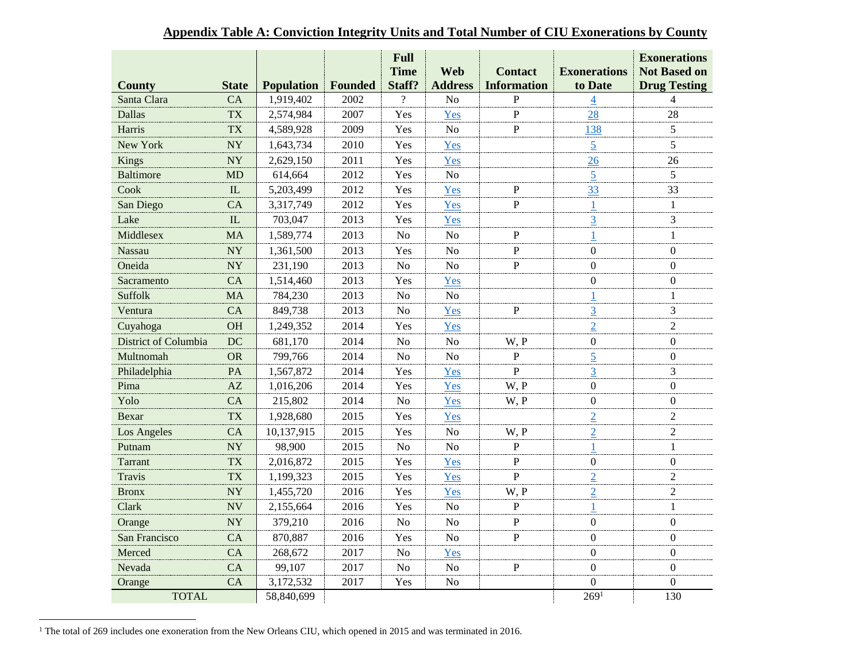|                      |              |                   |         | Full                  | Web<br><b>Contact</b>                |              |                                | <b>Exonerations</b>                        |  |
|----------------------|--------------|-------------------|---------|-----------------------|--------------------------------------|--------------|--------------------------------|--------------------------------------------|--|
| <b>County</b>        | <b>State</b> | <b>Population</b> | Founded | <b>Time</b><br>Staff? | <b>Address</b><br><b>Information</b> |              | <b>Exonerations</b><br>to Date | <b>Not Based on</b><br><b>Drug Testing</b> |  |
| Santa Clara          | CA           | 1,919,402         | 2002    | $\gamma$              | N <sub>o</sub>                       | $\mathbf P$  | $\overline{\mathcal{A}}$       | $\overline{4}$                             |  |
| <b>Dallas</b>        | <b>TX</b>    | 2,574,984         | 2007    | Yes                   | Yes                                  | $\mathbf{P}$ | 28                             | 28                                         |  |
| Harris               | <b>TX</b>    | 4,589,928         | 2009    | Yes                   | N <sub>o</sub>                       | $\mathbf{P}$ | 138                            | 5                                          |  |
| New York             | <b>NY</b>    | 1,643,734         | 2010    | Yes                   | Yes                                  |              | $\overline{5}$                 | 5                                          |  |
| Kings                | NY           | 2,629,150         | 2011    | Yes                   | Yes                                  |              | 26                             | 26                                         |  |
| <b>Baltimore</b>     | <b>MD</b>    | 614,664           | 2012    | Yes                   | No                                   |              | $\overline{5}$                 | 5                                          |  |
| Cook                 | IL           | 5,203,499         | 2012    | Yes                   | Yes                                  | P            | 33                             | 33                                         |  |
| San Diego            | CA           | 3,317,749         | 2012    | Yes                   | Yes                                  | $\mathbf P$  |                                | $\mathbf{1}$                               |  |
| Lake                 | IL           | 703,047           | 2013    | Yes                   | Yes                                  |              | $\overline{3}$                 | 3                                          |  |
| Middlesex            | <b>MA</b>    | 1,589,774         | 2013    | N <sub>o</sub>        | No                                   | $\mathbf P$  |                                | $\mathbf{1}$                               |  |
| <b>Nassau</b>        | <b>NY</b>    | 1,361,500         | 2013    | Yes                   | No                                   | ${\bf P}$    | $\boldsymbol{0}$               | $\boldsymbol{0}$                           |  |
| Oneida               | <b>NY</b>    | 231,190           | 2013    | N <sub>o</sub>        | N <sub>o</sub>                       | ${\bf P}$    | $\boldsymbol{0}$               | 0                                          |  |
| Sacramento           | CA           | 1,514,460         | 2013    | Yes                   | Yes                                  |              | $\mathbf{0}$                   | $\boldsymbol{0}$                           |  |
| Suffolk              | <b>MA</b>    | 784,230           | 2013    | No                    | No                                   |              | 1                              | $\mathbf{1}$                               |  |
| Ventura              | CA           | 849,738           | 2013    | No                    | Yes                                  | P            | $\overline{3}$                 | 3                                          |  |
| Cuyahoga             | <b>OH</b>    | 1,249,352         | 2014    | Yes                   | Yes                                  |              | $\overline{2}$                 | $\overline{2}$                             |  |
| District of Columbia | DC           | 681,170           | 2014    | N <sub>0</sub>        | No                                   | W, P         | $\mathbf{0}$                   | $\Omega$                                   |  |
| Multnomah            | <b>OR</b>    | 799,766           | 2014    | No                    | N <sub>o</sub>                       | $\mathbf{P}$ | $\frac{5}{2}$                  | $\overline{0}$                             |  |
| Philadelphia         | <b>PA</b>    | 1,567,872         | 2014    | Yes                   | Yes                                  | $\mathbf{P}$ | $\overline{3}$                 | 3                                          |  |
| Pima                 | AZ           | 1,016,206         | 2014    | Yes                   | Yes                                  | W, P         | $\mathbf{0}$                   | $\overline{0}$                             |  |
| Yolo                 | CA           | 215,802           | 2014    | N <sub>o</sub>        | Yes                                  | W, P         | $\mathbf{0}$                   | $\overline{0}$                             |  |
| Bexar                | <b>TX</b>    | 1,928,680         | 2015    | Yes                   | Yes                                  |              | $\overline{2}$                 | $\overline{2}$                             |  |
| Los Angeles          | CA           | 10,137,915        | 2015    | Yes                   | N <sub>o</sub>                       | W, P         | $\overline{2}$                 | $\overline{2}$                             |  |
| Putnam               | <b>NY</b>    | 98,900            | 2015    | N <sub>o</sub>        | N <sub>o</sub>                       | $\mathbf{P}$ | 1                              | 1                                          |  |
| Tarrant              | <b>TX</b>    | 2,016,872         | 2015    | Yes                   | Yes                                  | ${\bf P}$    | $\boldsymbol{0}$               | $\mathbf{0}$                               |  |
| <b>Travis</b>        | <b>TX</b>    | 1,199,323         | 2015    | Yes                   | Yes                                  | $\mathbf{P}$ | $\overline{2}$                 | $\overline{2}$                             |  |
| <b>Bronx</b>         | <b>NY</b>    | 1,455,720         | 2016    | Yes                   | Yes                                  | W, P         | $\overline{2}$                 | $\overline{2}$                             |  |
| Clark                | <b>NV</b>    | 2,155,664         | 2016    | Yes                   | N <sub>o</sub>                       | ${\bf P}$    | 1                              | $\mathbf{1}$                               |  |
| Orange               | <b>NY</b>    | 379,210           | 2016    | N <sub>o</sub>        | N <sub>o</sub>                       | $\mathbf P$  | $\mathbf{0}$                   | $\mathbf{0}$                               |  |
| San Francisco        | CA           | 870,887           | 2016    | Yes                   | N <sub>o</sub>                       | ${\bf P}$    | $\mathbf{0}$                   | $\mathbf{0}$                               |  |
| Merced               | CA           | 268,672           | 2017    | No                    | Yes                                  |              | $\mathbf{0}$                   | $\mathbf{0}$                               |  |
| Nevada               | CA           | 99,107            | 2017    | No                    | N <sub>o</sub>                       | $\mathbf P$  | $\mathbf{0}$                   | $\mathbf{0}$                               |  |
| Orange               | CA           | 3,172,532         | 2017    | Yes                   | No                                   |              | $\Omega$                       | $\boldsymbol{0}$                           |  |
| <b>TOTAL</b>         |              | 58,840,699        |         |                       |                                      |              | 269 <sup>1</sup>               | 130                                        |  |

#### **Appendix Table A: Conviction Integrity Units and Total Number of CIU Exonerations by County**

<sup>&</sup>lt;sup>1</sup> The total of 269 includes one exoneration from the New Orleans CIU, which opened in 2015 and was terminated in 2016.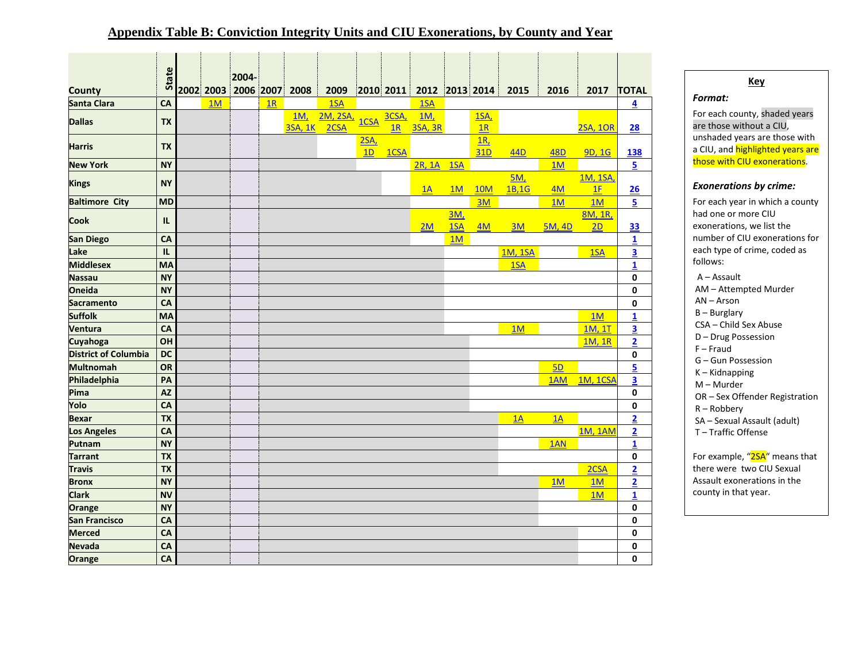#### **Appendix Table B: Conviction Integrity Units and CIU Exonerations, by County and Year**

|                             | State        |    | 2004-                    |    |            |          |                        |       |                              |            |             |                 |                  |                 |                         |
|-----------------------------|--------------|----|--------------------------|----|------------|----------|------------------------|-------|------------------------------|------------|-------------|-----------------|------------------|-----------------|-------------------------|
| <b>County</b>               |              |    | 2002 2003 2006 2007 2008 |    |            | 2009     |                        |       | $ 2010 2011 $ 2012 2013 2014 |            |             | 2015            | 2016             | 2017            | <b>TOTAL</b>            |
| <b>Santa Clara</b>          | CA           | 1M |                          | 1R |            | 1SA      |                        |       | 1SA                          |            |             |                 |                  |                 | 4                       |
|                             |              |    |                          |    | <u>1M,</u> | 2M, 2SA, |                        | 3CSA, | <u>1М,</u>                   |            | <u>1SA,</u> |                 |                  |                 |                         |
| <b>Dallas</b>               | <b>TX</b>    |    |                          |    | 3SA, 1K    | 2CSA     | 1CSA                   | 1R    | 3SA, 3R                      |            | 1R          |                 |                  | <b>2SA, 1OR</b> | 28                      |
| <b>Harris</b>               | <b>TX</b>    |    |                          |    |            |          | 2SA <sub>2</sub><br>1D | 1CSA  |                              |            | 1R<br>31D   | 44 <sub>D</sub> | <b>48D</b>       | 9D, 1G          | 138                     |
| <b>New York</b>             | <b>NY</b>    |    |                          |    |            |          |                        |       | 2R, 1A                       | 15A        |             |                 | $\underline{1M}$ |                 | 5                       |
|                             |              |    |                          |    |            |          |                        |       |                              |            |             | 5M,             |                  | 1M, 1SA         |                         |
| <b>Kings</b>                | <b>NY</b>    |    |                          |    |            |          |                        |       | 1A                           | 1M         | <b>10M</b>  | 1B,1G           | 4M               | 1F              | 26                      |
| <b>Baltimore City</b>       | <b>MD</b>    |    |                          |    |            |          |                        |       |                              |            | 3M          |                 | 1M               | 1M              | $\overline{5}$          |
| <b>Cook</b>                 | IL           |    |                          |    |            |          |                        |       |                              | <u>3M,</u> |             |                 |                  | 8M, 1R,         |                         |
|                             |              |    |                          |    |            |          |                        |       | 2M                           | 1SA        | 4M          | 3M              | <b>5M, 4D</b>    | 2D              | <b>33</b>               |
| <b>San Diego</b>            | CA           |    |                          |    |            |          |                        |       |                              | 1M         |             |                 |                  |                 | $\mathbf{1}$            |
| Lake                        | $\mathbf{L}$ |    |                          |    |            |          |                        |       |                              |            |             | <b>1M, 1SA</b>  |                  | 1SA             | 3                       |
| <b>Middlesex</b>            | MA           |    |                          |    |            |          |                        |       |                              |            |             | 1SA             |                  |                 | $\mathbf{1}$            |
| <b>Nassau</b>               | <b>NY</b>    |    |                          |    |            |          |                        |       |                              |            |             |                 |                  |                 | 0                       |
| <b>Oneida</b>               | <b>NY</b>    |    |                          |    |            |          |                        |       |                              |            |             |                 |                  |                 | 0                       |
| <b>Sacramento</b>           | CA           |    |                          |    |            |          |                        |       |                              |            |             |                 |                  |                 | 0                       |
| <b>Suffolk</b>              | <b>MA</b>    |    |                          |    |            |          |                        |       |                              |            |             |                 |                  | 1M              | $\overline{\mathbf{1}}$ |
| Ventura                     | CA           |    |                          |    |            |          |                        |       |                              |            |             | 1M              |                  | 1M, 1T          | $\overline{\mathbf{3}}$ |
| Cuyahoga                    | OH           |    |                          |    |            |          |                        |       |                              |            |             |                 |                  | 1M, 1R          | $\overline{\mathbf{2}}$ |
| <b>District of Columbia</b> | <b>DC</b>    |    |                          |    |            |          |                        |       |                              |            |             |                 |                  |                 | 0                       |
| <b>Multnomah</b>            | <b>OR</b>    |    |                          |    |            |          |                        |       |                              |            |             |                 | 5D               |                 | $\overline{5}$          |
| Philadelphia                | PA           |    |                          |    |            |          |                        |       |                              |            |             |                 | 1AM              | <b>1M, 1CSA</b> | $\overline{\mathbf{3}}$ |
| Pima                        | <b>AZ</b>    |    |                          |    |            |          |                        |       |                              |            |             |                 |                  |                 | 0                       |
| Yolo                        | CA           |    |                          |    |            |          |                        |       |                              |            |             |                 |                  |                 | 0                       |
| <b>Bexar</b>                | <b>TX</b>    |    |                          |    |            |          |                        |       |                              |            |             | 1A              | 1A               |                 | $\overline{2}$          |
| <b>Los Angeles</b>          | CA           |    |                          |    |            |          |                        |       |                              |            |             |                 |                  | <b>1M, 1AM</b>  | $\overline{\mathbf{2}}$ |
| Putnam                      | <b>NY</b>    |    |                          |    |            |          |                        |       |                              |            |             |                 | 1AN              |                 | $\overline{\mathbf{1}}$ |
| <b>Tarrant</b>              | <b>TX</b>    |    |                          |    |            |          |                        |       |                              |            |             |                 |                  |                 | $\pmb{0}$               |
| <b>Travis</b>               | <b>TX</b>    |    |                          |    |            |          |                        |       |                              |            |             |                 |                  | 2CSA            | $\overline{2}$          |
| <b>Bronx</b>                | <b>NY</b>    |    |                          |    |            |          |                        |       |                              |            |             |                 | 1M               | 1M              | $\overline{\mathbf{2}}$ |
| <b>Clark</b>                | <b>NV</b>    |    |                          |    |            |          |                        |       |                              |            |             |                 |                  | 1M              | $\overline{\mathbf{1}}$ |
| Orange                      | <b>NY</b>    |    |                          |    |            |          |                        |       |                              |            |             |                 |                  |                 | $\pmb{0}$               |
| <b>San Francisco</b>        | CA           |    |                          |    |            |          |                        |       |                              |            |             |                 |                  |                 | 0                       |
| <b>Merced</b>               | CA           |    |                          |    |            |          |                        |       |                              |            |             |                 |                  |                 | 0                       |
| <b>Nevada</b>               | CA           |    |                          |    |            |          |                        |       |                              |            |             |                 |                  |                 | 0                       |
| Orange                      | <b>CA</b>    |    |                          |    |            |          |                        |       |                              |            |             |                 |                  |                 | $\mathbf{0}$            |

#### **Key** *Format:* For each county, shaded years are those without a CIU, unshaded years are those with a CIU, and **highlighted years are** those with CIU exonerations. *Exonerations by crime:* For each year in which a county

there were two CIU Sexual Assault exonerations in the county in that year.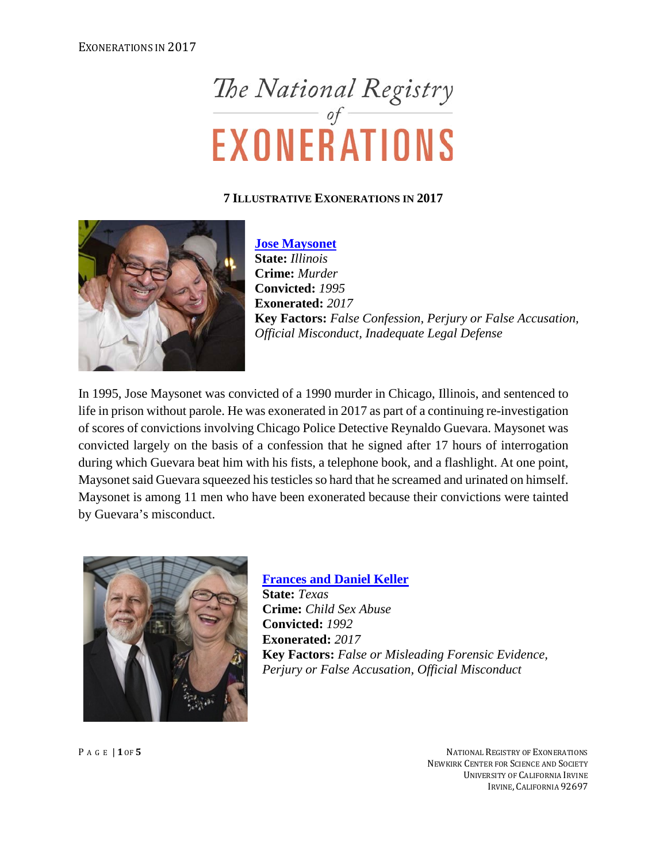# The National Registry<br>EXONERATIONS

#### **7 ILLUSTRATIVE EXONERATIONS IN 2017**



**[Jose Maysonet](http://www.law.umich.edu/special/exoneration/Pages/casedetail.aspx?caseid=5234) State:** *Illinois* **Crime:** *Murder* **Convicted:** *1995* **Exonerated:** *2017* **Key Factors:** *False Confession, Perjury or False Accusation, Official Misconduct, Inadequate Legal Defense*

In 1995, Jose Maysonet was convicted of a 1990 murder in Chicago, Illinois, and sentenced to life in prison without parole. He was exonerated in 2017 as part of a continuing re-investigation of scores of convictions involving Chicago Police Detective Reynaldo Guevara. Maysonet was convicted largely on the basis of a confession that he signed after 17 hours of interrogation during which Guevara beat him with his fists, a telephone book, and a flashlight. At one point, Maysonet said Guevara squeezed his testicles so hard that he screamed and urinated on himself. Maysonet is among 11 men who have been exonerated because their convictions were tainted by Guevara's misconduct.



**[Frances and Daniel Keller](http://www.law.umich.edu/special/exoneration/Pages/casedetail.aspx?caseid=5156)**

**State:** *Texas* **Crime:** *Child Sex Abuse* **Convicted:** *1992* **Exonerated:** *2017* **Key Factors:** *False or Misleading Forensic Evidence, Perjury or False Accusation, Official Misconduct*

P AGE | **1** OF **5** NATIONAL REGISTRY OF EXONERATIONS NEWKIRK CENTER FOR SCIENCE AND SOCIETY UNIVERSITY OF CALIFORNIA IRVINE IRVINE, CALIFORNIA 92697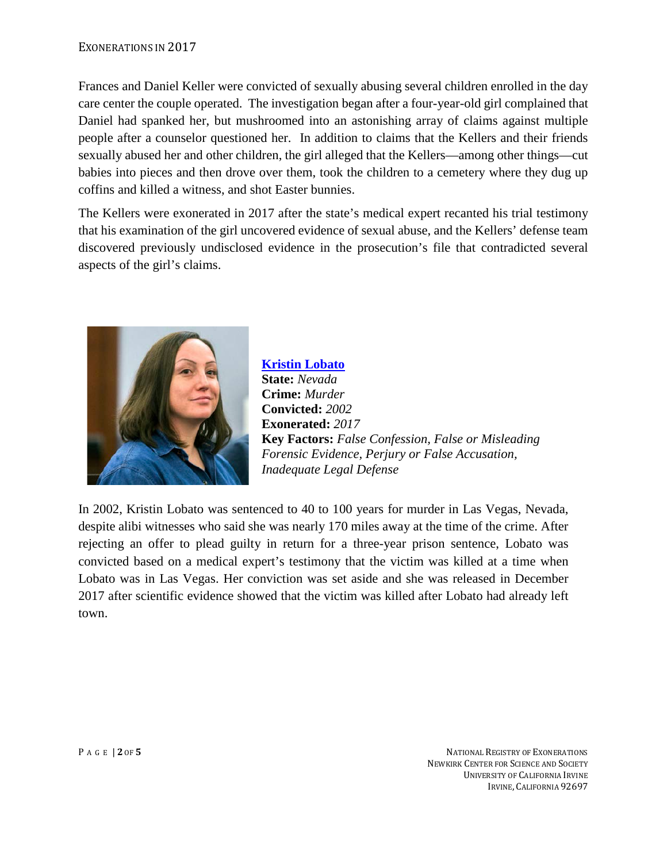#### EXONERATIONS IN 2017

Frances and Daniel Keller were convicted of sexually abusing several children enrolled in the day care center the couple operated. The investigation began after a four-year-old girl complained that Daniel had spanked her, but mushroomed into an astonishing array of claims against multiple people after a counselor questioned her. In addition to claims that the Kellers and their friends sexually abused her and other children, the girl alleged that the Kellers—among other things—cut babies into pieces and then drove over them, took the children to a cemetery where they dug up coffins and killed a witness, and shot Easter bunnies.

The Kellers were exonerated in 2017 after the state's medical expert recanted his trial testimony that his examination of the girl uncovered evidence of sexual abuse, and the Kellers' defense team discovered previously undisclosed evidence in the prosecution's file that contradicted several aspects of the girl's claims.



**[Kristin Lobato](https://www.law.umich.edu/special/exoneration/Pages/casedetail.aspx?caseid=5254) State:** *Nevada* **Crime:** *Murder* **Convicted:** *2002* **Exonerated:** *2017* **Key Factors:** *False Confession, False or Misleading Forensic Evidence, Perjury or False Accusation, Inadequate Legal Defense*

In 2002, Kristin Lobato was sentenced to 40 to 100 years for murder in Las Vegas, Nevada, despite alibi witnesses who said she was nearly 170 miles away at the time of the crime. After rejecting an offer to plead guilty in return for a three-year prison sentence, Lobato was convicted based on a medical expert's testimony that the victim was killed at a time when Lobato was in Las Vegas. Her conviction was set aside and she was released in December 2017 after scientific evidence showed that the victim was killed after Lobato had already left town.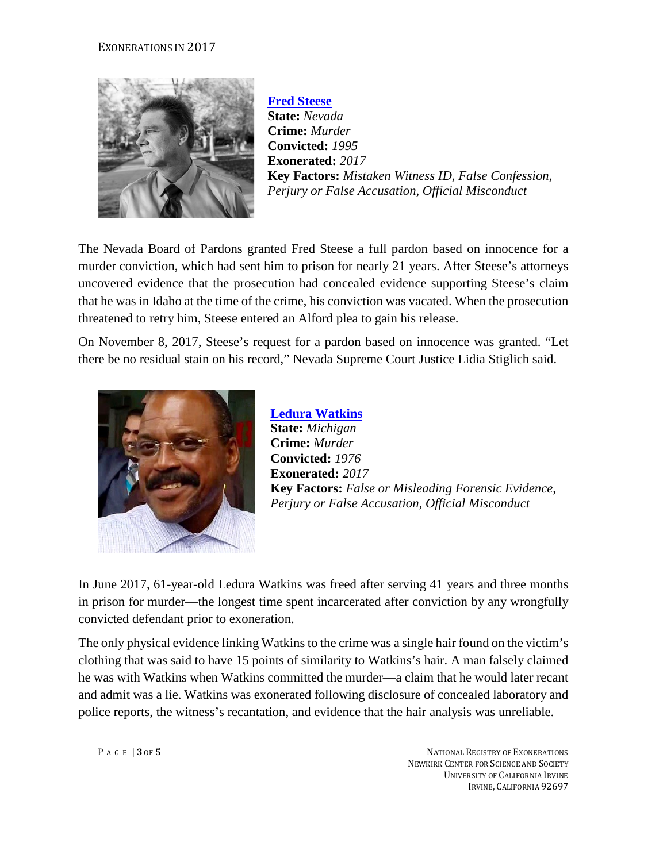#### EXONERATIONS IN 2017



**[Fred Steese](https://www.law.umich.edu/special/exoneration/Pages/casedetail.aspx?caseid=5236) State:** *Nevada* **Crime:** *Murder* **Convicted:** *1995* **Exonerated:** *2017* **Key Factors:** *Mistaken Witness ID, False Confession, Perjury or False Accusation, Official Misconduct*

The Nevada Board of Pardons granted Fred Steese a full pardon based on innocence for a murder conviction, which had sent him to prison for nearly 21 years. After Steese's attorneys uncovered evidence that the prosecution had concealed evidence supporting Steese's claim that he was in Idaho at the time of the crime, his conviction was vacated. When the prosecution threatened to retry him, Steese entered an Alford plea to gain his release.

On November 8, 2017, Steese's request for a pardon based on innocence was granted. "Let there be no residual stain on his record," Nevada Supreme Court Justice Lidia Stiglich said.



**[Ledura Watkins](https://www.law.umich.edu/special/exoneration/Pages/casedetail.aspx?caseid=5159) State:** *Michigan* **Crime:** *Murder* **Convicted:** *1976* **Exonerated:** *2017* **Key Factors:** *False or Misleading Forensic Evidence, Perjury or False Accusation, Official Misconduct*

In June 2017, 61-year-old Ledura Watkins was freed after serving 41 years and three months in prison for murder—the longest time spent incarcerated after conviction by any wrongfully convicted defendant prior to exoneration.

The only physical evidence linking Watkins to the crime was a single hair found on the victim's clothing that was said to have 15 points of similarity to Watkins's hair. A man falsely claimed he was with Watkins when Watkins committed the murder—a claim that he would later recant and admit was a lie. Watkins was exonerated following disclosure of concealed laboratory and police reports, the witness's recantation, and evidence that the hair analysis was unreliable.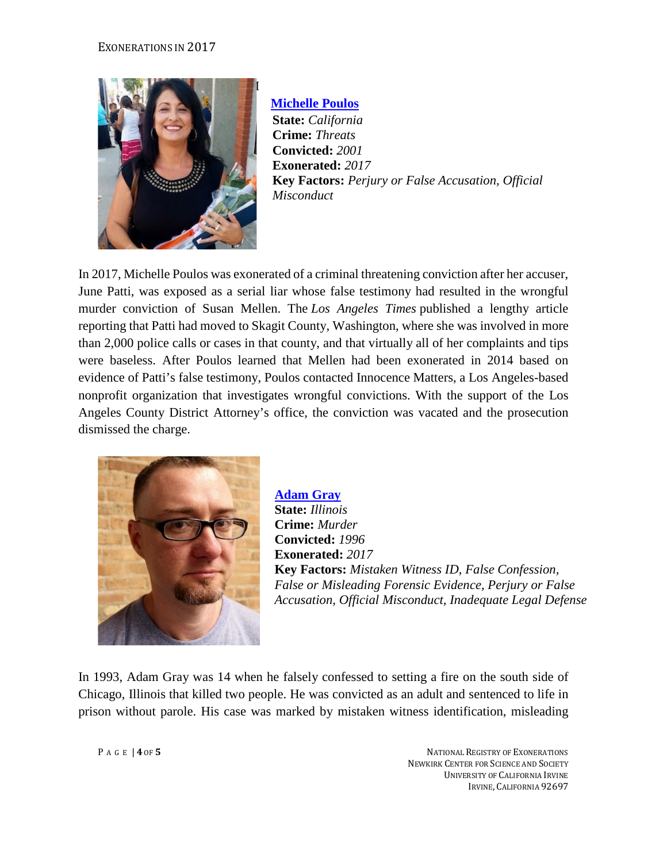

 **[Michelle Poulos](http://www.law.umich.edu/special/exoneration/Pages/casedetail.aspx?caseid=5105) State:** *California* **Crime:** *Threats* **Convicted:** *2001* **Exonerated:** *2017* **Key Factors:** *Perjury or False Accusation, Official Misconduct*

In 2017, Michelle Poulos was exonerated of a criminal threatening conviction after her accuser, June Patti, was exposed as a serial liar whose false testimony had resulted in the wrongful murder conviction of Susan Mellen. The *Los Angeles Times* published a lengthy article reporting that Patti had moved to Skagit County, Washington, where she was involved in more than 2,000 police calls or cases in that county, and that virtually all of her complaints and tips were baseless. After Poulos learned that Mellen had been exonerated in 2014 based on evidence of Patti's false testimony, Poulos contacted Innocence Matters, a Los Angeles-based nonprofit organization that investigates wrongful convictions. With the support of the Los Angeles County District Attorney's office, the conviction was vacated and the prosecution dismissed the charge.



**[Adam Gray](https://www.law.umich.edu/special/exoneration/Pages/casedetail.aspx?caseid=5131) State:** *Illinois* **Crime:** *Murder* **Convicted:** *1996* **Exonerated:** *2017* **Key Factors:** *Mistaken Witness ID, False Confession, False or Misleading Forensic Evidence, Perjury or False Accusation, Official Misconduct, Inadequate Legal Defense*

In 1993, Adam Gray was 14 when he falsely confessed to setting a fire on the south side of Chicago, Illinois that killed two people. He was convicted as an adult and sentenced to life in prison without parole. His case was marked by mistaken witness identification, misleading